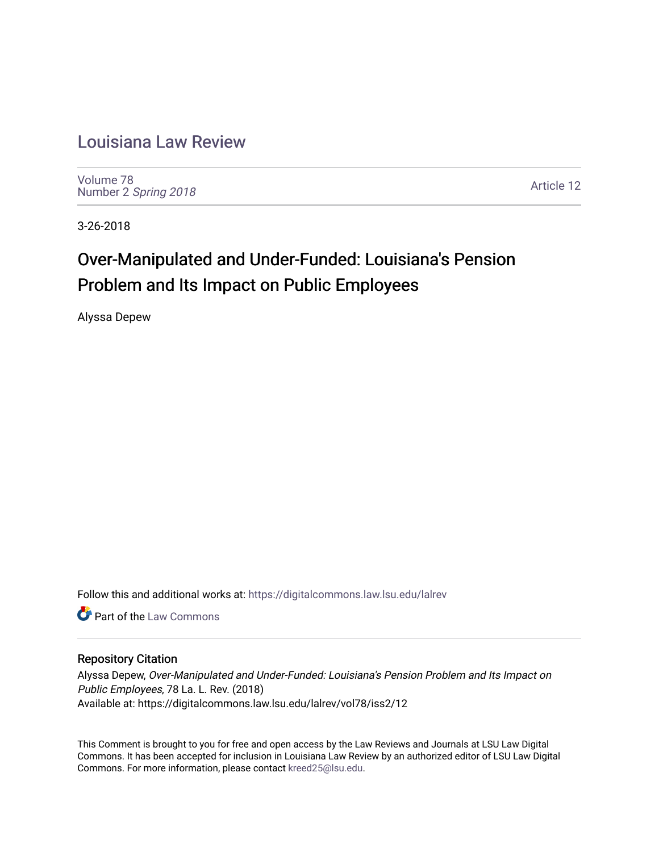# [Louisiana Law Review](https://digitalcommons.law.lsu.edu/lalrev)

[Volume 78](https://digitalcommons.law.lsu.edu/lalrev/vol78) Number 2 [Spring 2018](https://digitalcommons.law.lsu.edu/lalrev/vol78/iss2) 

[Article 12](https://digitalcommons.law.lsu.edu/lalrev/vol78/iss2/12) 

3-26-2018

# Over-Manipulated and Under-Funded: Louisiana's Pension Problem and Its Impact on Public Employees

Alyssa Depew

Follow this and additional works at: [https://digitalcommons.law.lsu.edu/lalrev](https://digitalcommons.law.lsu.edu/lalrev?utm_source=digitalcommons.law.lsu.edu%2Flalrev%2Fvol78%2Fiss2%2F12&utm_medium=PDF&utm_campaign=PDFCoverPages)

**C** Part of the [Law Commons](http://network.bepress.com/hgg/discipline/578?utm_source=digitalcommons.law.lsu.edu%2Flalrev%2Fvol78%2Fiss2%2F12&utm_medium=PDF&utm_campaign=PDFCoverPages)

# Repository Citation

Alyssa Depew, Over-Manipulated and Under-Funded: Louisiana's Pension Problem and Its Impact on Public Employees, 78 La. L. Rev. (2018) Available at: https://digitalcommons.law.lsu.edu/lalrev/vol78/iss2/12

This Comment is brought to you for free and open access by the Law Reviews and Journals at LSU Law Digital Commons. It has been accepted for inclusion in Louisiana Law Review by an authorized editor of LSU Law Digital Commons. For more information, please contact [kreed25@lsu.edu](mailto:kreed25@lsu.edu).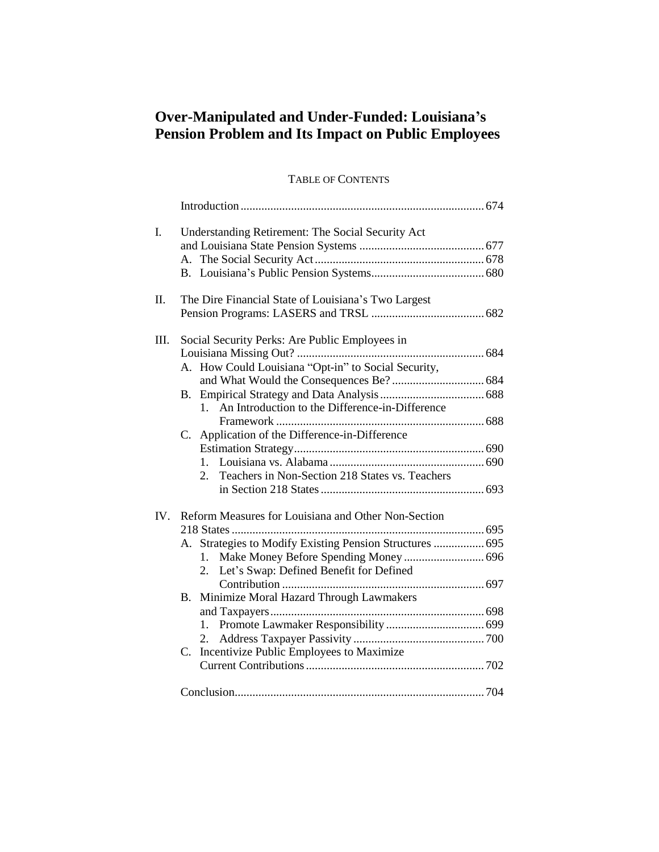# **Over-Manipulated and Under-Funded: Louisiana's Pension Problem and Its Impact on Public Employees**

# TABLE OF CONTENTS

| I.   | Understanding Retirement: The Social Security Act                 |  |
|------|-------------------------------------------------------------------|--|
|      |                                                                   |  |
|      |                                                                   |  |
|      |                                                                   |  |
| Π.   | The Dire Financial State of Louisiana's Two Largest               |  |
|      |                                                                   |  |
| III. | Social Security Perks: Are Public Employees in                    |  |
|      |                                                                   |  |
|      | A. How Could Louisiana "Opt-in" to Social Security,               |  |
|      |                                                                   |  |
|      | В.                                                                |  |
|      | An Introduction to the Difference-in-Difference<br>1 <sup>1</sup> |  |
|      |                                                                   |  |
|      | C. Application of the Difference-in-Difference                    |  |
|      |                                                                   |  |
|      | $1_{-}$                                                           |  |
|      | Teachers in Non-Section 218 States vs. Teachers<br>2.             |  |
|      |                                                                   |  |
| IV.  | Reform Measures for Louisiana and Other Non-Section               |  |
|      |                                                                   |  |
|      | Strategies to Modify Existing Pension Structures  695<br>А.       |  |
|      | Make Money Before Spending Money  696<br>1.                       |  |
|      | Let's Swap: Defined Benefit for Defined<br>2.                     |  |
|      |                                                                   |  |
|      | Minimize Moral Hazard Through Lawmakers<br>В.                     |  |
|      |                                                                   |  |
|      | 1.                                                                |  |
|      | 2.                                                                |  |
|      | Incentivize Public Employees to Maximize<br>$C_{\cdot}$           |  |
|      |                                                                   |  |
|      |                                                                   |  |
|      |                                                                   |  |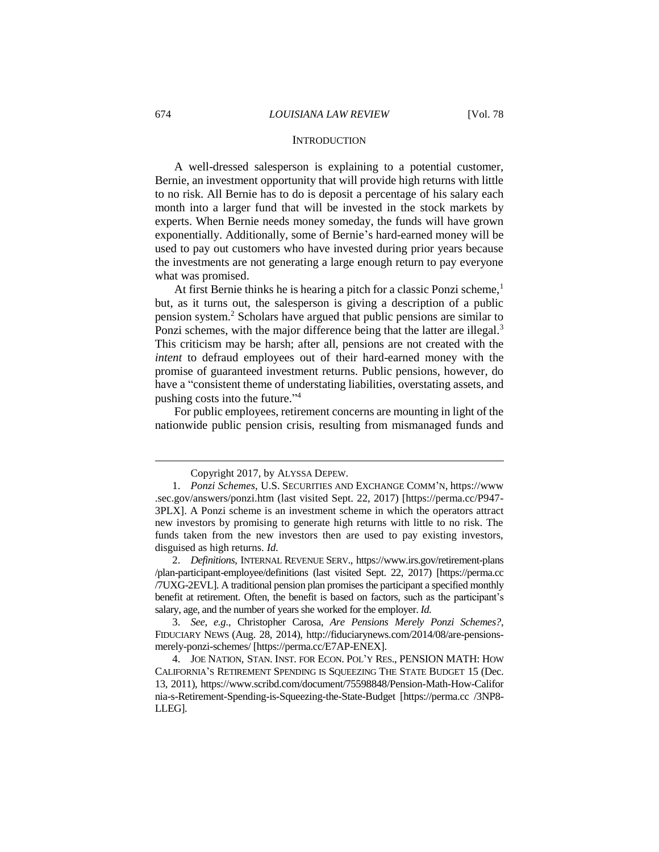#### **INTRODUCTION**

A well-dressed salesperson is explaining to a potential customer, Bernie, an investment opportunity that will provide high returns with little to no risk. All Bernie has to do is deposit a percentage of his salary each month into a larger fund that will be invested in the stock markets by experts. When Bernie needs money someday, the funds will have grown exponentially. Additionally, some of Bernie's hard-earned money will be used to pay out customers who have invested during prior years because the investments are not generating a large enough return to pay everyone what was promised.

At first Bernie thinks he is hearing a pitch for a classic Ponzi scheme,<sup>1</sup> but, as it turns out, the salesperson is giving a description of a public pension system.<sup>2</sup> Scholars have argued that public pensions are similar to Ponzi schemes, with the major difference being that the latter are illegal.<sup>3</sup> This criticism may be harsh; after all, pensions are not created with the *intent* to defraud employees out of their hard-earned money with the promise of guaranteed investment returns. Public pensions, however, do have a "consistent theme of understating liabilities, overstating assets, and pushing costs into the future." 4

For public employees, retirement concerns are mounting in light of the nationwide public pension crisis, resulting from mismanaged funds and

Copyright 2017, by ALYSSA DEPEW.

<sup>1.</sup> *Ponzi Schemes*, U.S. SECURITIES AND EXCHANGE COMM'N, https://www .sec.gov/answers/ponzi.htm (last visited Sept. 22, 2017) [https://perma.cc/P947- 3PLX]. A Ponzi scheme is an investment scheme in which the operators attract new investors by promising to generate high returns with little to no risk. The funds taken from the new investors then are used to pay existing investors, disguised as high returns. *Id.* 

<sup>2.</sup> *Definitions*, INTERNAL REVENUE SERV., https://www.irs.gov/retirement-plans /plan-participant-employee/definitions (last visited Sept. 22, 2017) [https://perma.cc /7UXG-2EVL]. A traditional pension plan promises the participant a specified monthly benefit at retirement. Often, the benefit is based on factors, such as the participant's salary, age, and the number of years she worked for the employer. *Id.*

<sup>3.</sup> *See, e.g.*, Christopher Carosa, *Are Pensions Merely Ponzi Schemes?*, FIDUCIARY NEWS (Aug. 28, 2014), http://fiduciarynews.com/2014/08/are-pensionsmerely-ponzi-schemes/ [https://perma.cc/E7AP-ENEX].

<sup>4.</sup> JOE NATION, STAN. INST. FOR ECON. POL'Y RES., PENSION MATH: HOW CALIFORNIA'S RETIREMENT SPENDING IS SQUEEZING THE STATE BUDGET 15 (Dec. 13, 2011), https://www.scribd.com/document/75598848/Pension-Math-How-Califor nia-s-Retirement-Spending-is-Squeezing-the-State-Budget [https://perma.cc /3NP8- LLEG].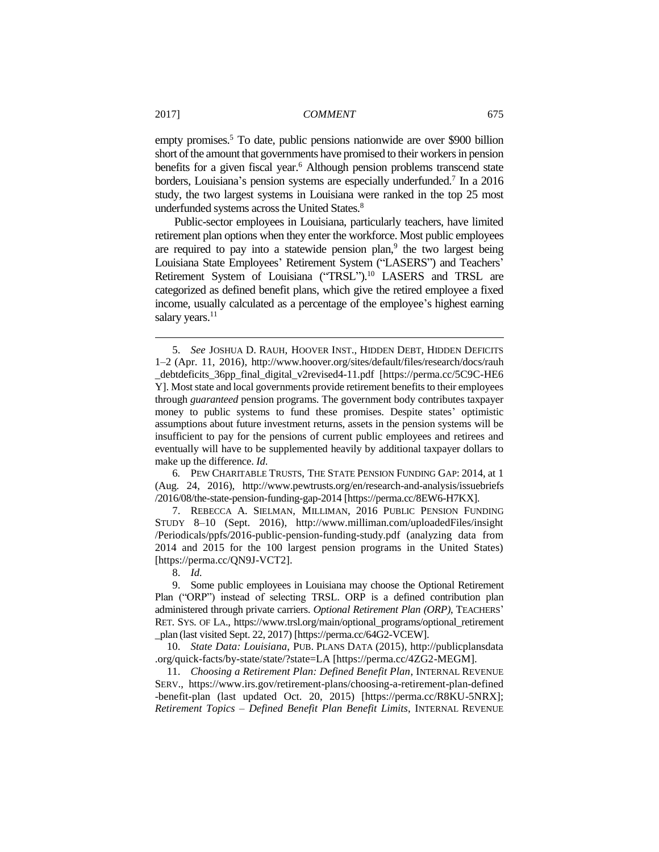empty promises.<sup>5</sup> To date, public pensions nationwide are over \$900 billion short of the amount that governments have promised to their workers in pension benefits for a given fiscal year.<sup>6</sup> Although pension problems transcend state borders, Louisiana's pension systems are especially underfunded.<sup>7</sup> In a 2016 study, the two largest systems in Louisiana were ranked in the top 25 most underfunded systems across the United States.<sup>8</sup>

Public-sector employees in Louisiana, particularly teachers, have limited retirement plan options when they enter the workforce. Most public employees are required to pay into a statewide pension plan,<sup>9</sup> the two largest being Louisiana State Employees' Retirement System ("LASERS") and Teachers' Retirement System of Louisiana ("TRSL").<sup>10</sup> LASERS and TRSL are categorized as defined benefit plans, which give the retired employee a fixed income, usually calculated as a percentage of the employee's highest earning salary years.<sup>11</sup>

6*.* PEW CHARITABLE TRUSTS, THE STATE PENSION FUNDING GAP: 2014, at 1 (Aug. 24, 2016), http://www.pewtrusts.org/en/research-and-analysis/issuebriefs /2016/08/the-state-pension-funding-gap-2014 [https://perma.cc/8EW6-H7KX].

7. REBECCA A. SIELMAN, MILLIMAN, 2016 PUBLIC PENSION FUNDING STUDY 8–10 (Sept. 2016), http://www.milliman.com/uploadedFiles/insight /Periodicals/ppfs/2016-public-pension-funding-study.pdf (analyzing data from 2014 and 2015 for the 100 largest pension programs in the United States) [https://perma.cc/QN9J-VCT2].

8. *Id.*

9. Some public employees in Louisiana may choose the Optional Retirement Plan ("ORP") instead of selecting TRSL. ORP is a defined contribution plan administered through private carriers. *Optional Retirement Plan (ORP)*, TEACHERS' RET. SYS. OF LA., https://www.trsl.org/main/optional\_programs/optional\_retirement \_plan (last visited Sept. 22, 2017) [https://perma.cc/64G2-VCEW].

10. *State Data: Louisiana*, PUB. PLANS DATA (2015), http://publicplansdata .org/quick-facts/by-state/state/?state=LA [https://perma.cc/4ZG2-MEGM].

11. *Choosing a Retirement Plan: Defined Benefit Plan*, INTERNAL REVENUE SERV., https://www.irs.gov/retirement-plans/choosing-a-retirement-plan-defined -benefit-plan (last updated Oct. 20, 2015) [https://perma.cc/R8KU-5NRX]; *Retirement Topics – Defined Benefit Plan Benefit Limits*, INTERNAL REVENUE

<sup>5.</sup> *See* JOSHUA D. RAUH, HOOVER INST., HIDDEN DEBT, HIDDEN DEFICITS 1–2 (Apr. 11, 2016), http://www.hoover.org/sites/default/files/research/docs/rauh \_debtdeficits\_36pp\_final\_digital\_v2revised4-11.pdf [https://perma.cc/5C9C-HE6 Y]. Most state and local governments provide retirement benefits to their employees through *guaranteed* pension programs. The government body contributes taxpayer money to public systems to fund these promises. Despite states' optimistic assumptions about future investment returns, assets in the pension systems will be insufficient to pay for the pensions of current public employees and retirees and eventually will have to be supplemented heavily by additional taxpayer dollars to make up the difference. *Id*.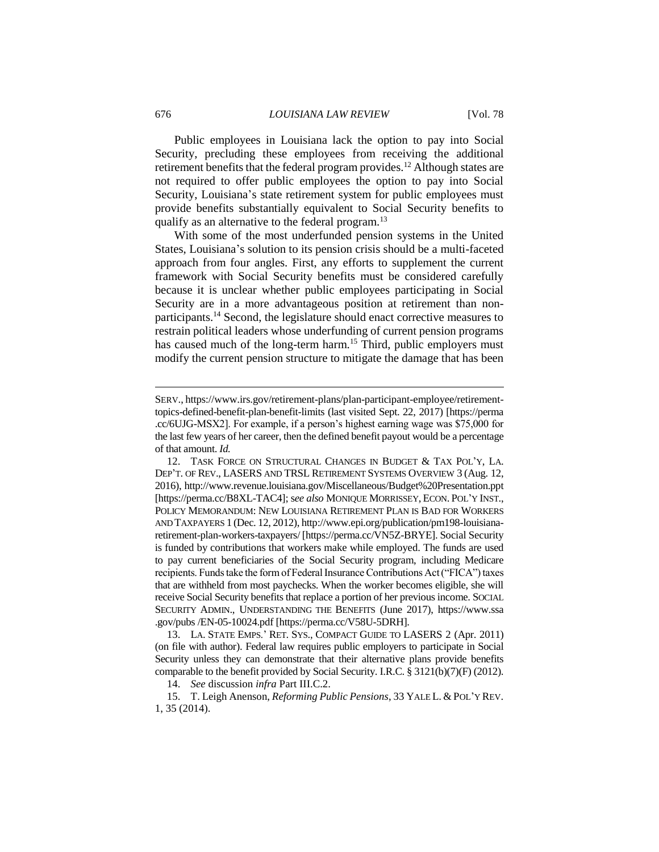Public employees in Louisiana lack the option to pay into Social Security, precluding these employees from receiving the additional retirement benefits that the federal program provides.<sup>12</sup> Although states are not required to offer public employees the option to pay into Social Security, Louisiana's state retirement system for public employees must provide benefits substantially equivalent to Social Security benefits to qualify as an alternative to the federal program.<sup>13</sup>

With some of the most underfunded pension systems in the United States, Louisiana's solution to its pension crisis should be a multi-faceted approach from four angles. First, any efforts to supplement the current framework with Social Security benefits must be considered carefully because it is unclear whether public employees participating in Social Security are in a more advantageous position at retirement than nonparticipants.<sup>14</sup> Second, the legislature should enact corrective measures to restrain political leaders whose underfunding of current pension programs has caused much of the long-term harm.<sup>15</sup> Third, public employers must modify the current pension structure to mitigate the damage that has been

13. LA. STATE EMPS.' RET. SYS., COMPACT GUIDE TO LASERS 2 (Apr. 2011) (on file with author). Federal law requires public employers to participate in Social Security unless they can demonstrate that their alternative plans provide benefits comparable to the benefit provided by Social Security. I.R.C.  $\S 3121(b)(7)(F)$  (2012).

14. *See* discussion *infra* Part III.C.2.

15. T. Leigh Anenson, *Reforming Public Pensions*, 33 YALE L. & POL'Y REV. 1, 35 (2014).

SERV., https://www.irs.gov/retirement-plans/plan-participant-employee/retirementtopics-defined-benefit-plan-benefit-limits (last visited Sept. 22, 2017) [https://perma .cc/6UJG-MSX2]. For example, if a person's highest earning wage was \$75,000 for the last few years of her career, then the defined benefit payout would be a percentage of that amount. *Id.*

<sup>12.</sup> TASK FORCE ON STRUCTURAL CHANGES IN BUDGET & TAX POL'Y, LA. DEP'T. OF REV., LASERS AND TRSL RETIREMENT SYSTEMS OVERVIEW 3 (Aug. 12, 2016), http://www.revenue.louisiana.gov/Miscellaneous/Budget%20Presentation.ppt [https://perma.cc/B8XL-TAC4]; s*ee also* MONIQUE MORRISSEY, ECON. POL'Y INST., POLICY MEMORANDUM: NEW LOUISIANA RETIREMENT PLAN IS BAD FOR WORKERS AND TAXPAYERS 1 (Dec. 12, 2012), http://www.epi.org/publication/pm198-louisianaretirement-plan-workers-taxpayers/ [https://perma.cc/VN5Z-BRYE]. Social Security is funded by contributions that workers make while employed. The funds are used to pay current beneficiaries of the Social Security program, including Medicare recipients. Funds take the form of Federal Insurance Contributions Act ("FICA") taxes that are withheld from most paychecks. When the worker becomes eligible, she will receive Social Security benefits that replace a portion of her previous income. SOCIAL SECURITY ADMIN., UNDERSTANDING THE BENEFITS (June 2017), https://www.ssa .gov/pubs /EN-05-10024.pdf [https://perma.cc/V58U-5DRH].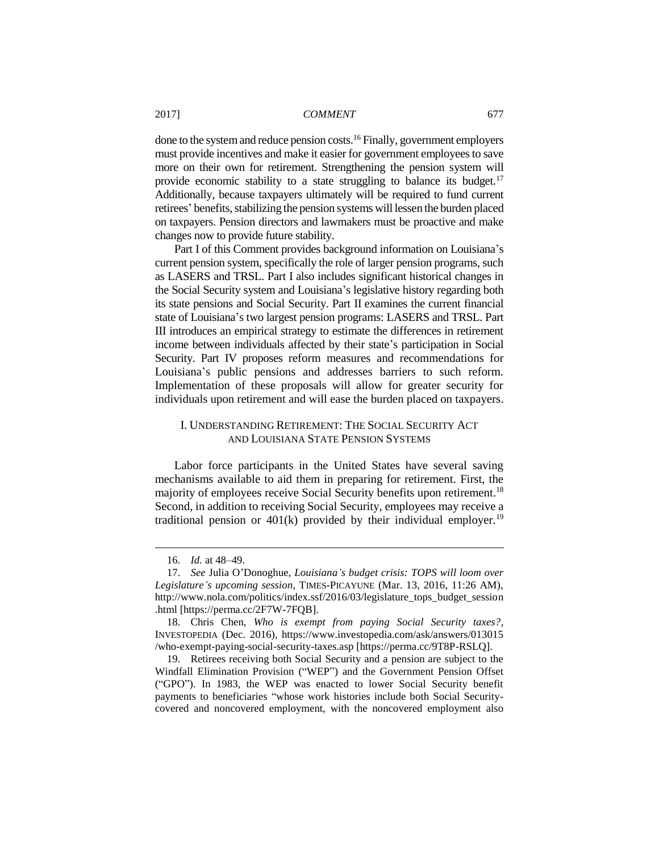done to the system and reduce pension costs.<sup>16</sup> Finally, government employers must provide incentives and make it easier for government employees to save more on their own for retirement. Strengthening the pension system will provide economic stability to a state struggling to balance its budget.<sup>17</sup> Additionally, because taxpayers ultimately will be required to fund current retirees' benefits, stabilizing the pension systems will lessen the burden placed on taxpayers. Pension directors and lawmakers must be proactive and make changes now to provide future stability.

Part I of this Comment provides background information on Louisiana's current pension system, specifically the role of larger pension programs, such as LASERS and TRSL. Part I also includes significant historical changes in the Social Security system and Louisiana's legislative history regarding both its state pensions and Social Security. Part II examines the current financial state of Louisiana's two largest pension programs: LASERS and TRSL. Part III introduces an empirical strategy to estimate the differences in retirement income between individuals affected by their state's participation in Social Security. Part IV proposes reform measures and recommendations for Louisiana's public pensions and addresses barriers to such reform. Implementation of these proposals will allow for greater security for individuals upon retirement and will ease the burden placed on taxpayers.

# I. UNDERSTANDING RETIREMENT: THE SOCIAL SECURITY ACT AND LOUISIANA STATE PENSION SYSTEMS

Labor force participants in the United States have several saving mechanisms available to aid them in preparing for retirement. First, the majority of employees receive Social Security benefits upon retirement.<sup>18</sup> Second, in addition to receiving Social Security, employees may receive a traditional pension or  $401(k)$  provided by their individual employer.<sup>19</sup>

<sup>16.</sup> *Id.* at 48–49.

<sup>17.</sup> *See* Julia O'Donoghue, *Louisiana's budget crisis: TOPS will loom over Legislature's upcoming session*, TIMES-PICAYUNE (Mar. 13, 2016, 11:26 AM), http://www.nola.com/politics/index.ssf/2016/03/legislature\_tops\_budget\_session .html [https://perma.cc/2F7W-7FQB].

<sup>18.</sup> Chris Chen, *Who is exempt from paying Social Security taxes?*, INVESTOPEDIA (Dec. 2016), https://www.investopedia.com/ask/answers/013015 /who-exempt-paying-social-security-taxes.asp [https://perma.cc/9T8P-RSLQ].

<sup>19.</sup> Retirees receiving both Social Security and a pension are subject to the Windfall Elimination Provision ("WEP") and the Government Pension Offset ("GPO"). In 1983, the WEP was enacted to lower Social Security benefit payments to beneficiaries "whose work histories include both Social Securitycovered and noncovered employment, with the noncovered employment also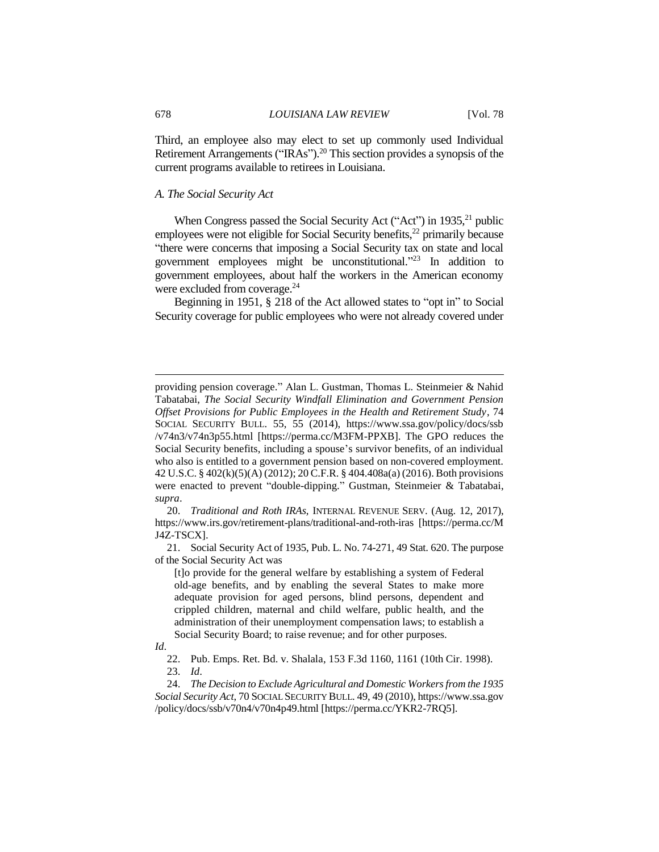Third, an employee also may elect to set up commonly used Individual Retirement Arrangements ("IRAs").<sup>20</sup> This section provides a synopsis of the current programs available to retirees in Louisiana.

# *A. The Social Security Act*

When Congress passed the Social Security Act ("Act") in  $1935$ <sup>21</sup> public employees were not eligible for Social Security benefits,<sup>22</sup> primarily because "there were concerns that imposing a Social Security tax on state and local government employees might be unconstitutional." <sup>23</sup> In addition to government employees, about half the workers in the American economy were excluded from coverage.<sup>24</sup>

Beginning in 1951, § 218 of the Act allowed states to "opt in" to Social Security coverage for public employees who were not already covered under

21. Social Security Act of 1935, Pub. L. No. 74-271, 49 Stat. 620. The purpose of the Social Security Act was

[t]o provide for the general welfare by establishing a system of Federal old-age benefits, and by enabling the several States to make more adequate provision for aged persons, blind persons, dependent and crippled children, maternal and child welfare, public health, and the administration of their unemployment compensation laws; to establish a Social Security Board; to raise revenue; and for other purposes.

providing pension coverage." Alan L. Gustman, Thomas L. Steinmeier & Nahid Tabatabai, *The Social Security Windfall Elimination and Government Pension Offset Provisions for Public Employees in the Health and Retirement Study*, 74 SOCIAL SECURITY BULL. 55, 55 (2014), https://www.ssa.gov/policy/docs/ssb /v74n3/v74n3p55.html [https://perma.cc/M3FM-PPXB]. The GPO reduces the Social Security benefits, including a spouse's survivor benefits, of an individual who also is entitled to a government pension based on non-covered employment. 42 U.S.C. § 402(k)(5)(A) (2012); 20 C.F.R. § 404.408a(a) (2016). Both provisions were enacted to prevent "double-dipping." Gustman, Steinmeier & Tabatabai, *supra*.

<sup>20.</sup> *Traditional and Roth IRAs*, INTERNAL REVENUE SERV. (Aug. 12, 2017), https://www.irs.gov/retirement-plans/traditional-and-roth-iras [https://perma.cc/M J4Z-TSCX].

*Id*.

<sup>22.</sup> Pub. Emps. Ret. Bd. v. Shalala, 153 F.3d 1160, 1161 (10th Cir. 1998). 23. *Id*.

<sup>24.</sup> *The Decision to Exclude Agricultural and Domestic Workers from the 1935 Social Security Act*, 70 SOCIAL SECURITY BULL. 49, 49 (2010), https://www.ssa.gov /policy/docs/ssb/v70n4/v70n4p49.html [https://perma.cc/YKR2-7RQ5].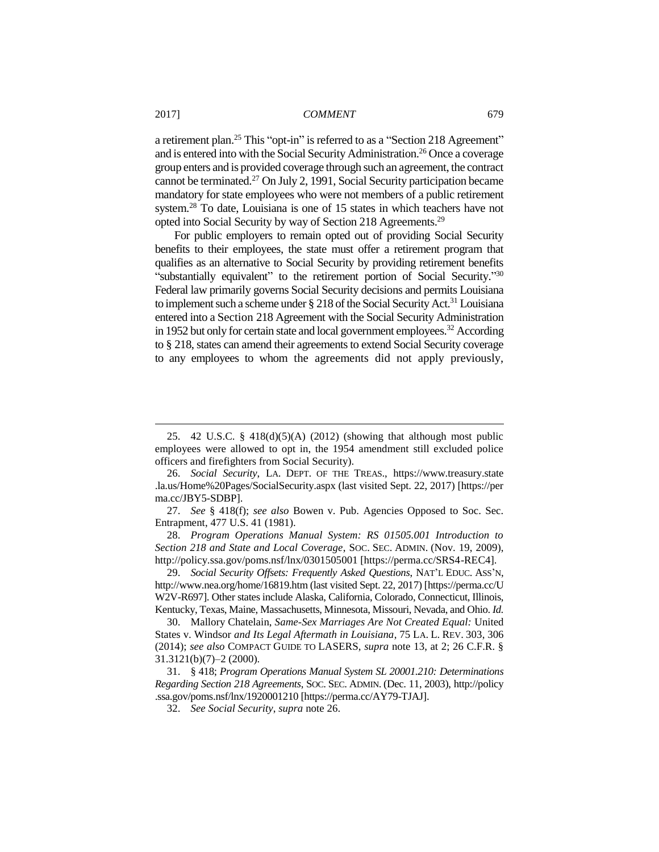a retirement plan.<sup>25</sup> This "opt-in" is referred to as a "Section 218 Agreement" and is entered into with the Social Security Administration.<sup>26</sup> Once a coverage group enters and is provided coverage through such an agreement, the contract cannot be terminated.<sup>27</sup> On July 2, 1991, Social Security participation became mandatory for state employees who were not members of a public retirement system.<sup>28</sup> To date, Louisiana is one of 15 states in which teachers have not opted into Social Security by way of Section 218 Agreements.<sup>29</sup>

For public employers to remain opted out of providing Social Security benefits to their employees, the state must offer a retirement program that qualifies as an alternative to Social Security by providing retirement benefits "substantially equivalent" to the retirement portion of Social Security."<sup>30</sup> Federal law primarily governs Social Security decisions and permits Louisiana to implement such a scheme under § 218 of the Social Security Act.<sup>31</sup> Louisiana entered into a Section 218 Agreement with the Social Security Administration in 1952 but only for certain state and local government employees.<sup>32</sup> According to § 218, states can amend their agreements to extend Social Security coverage to any employees to whom the agreements did not apply previously,

28. *Program Operations Manual System: RS 01505.001 Introduction to Section 218 and State and Local Coverage*, SOC. SEC. ADMIN. (Nov. 19, 2009), http://policy.ssa.gov/poms.nsf/lnx/0301505001 [https://perma.cc/SRS4-REC4].

29. *Social Security Offsets: Frequently Asked Questions*, NAT'L EDUC. ASS'N, http://www.nea.org/home/16819.htm (last visited Sept. 22, 2017) [https://perma.cc/U W2V-R697]. Other states include Alaska, California, Colorado, Connecticut, Illinois, Kentucky, Texas, Maine, Massachusetts, Minnesota, Missouri, Nevada, and Ohio. *Id.*

30. Mallory Chatelain, *Same-Sex Marriages Are Not Created Equal:* United States v. Windsor *and Its Legal Aftermath in Louisiana*, 75 LA. L. REV. 303, 306 (2014); *see also* COMPACT GUIDE TO LASERS, *supra* note 13, at 2; 26 C.F.R. § 31.3121(b)(7)–2 (2000).

31. § 418; *Program Operations Manual System SL 20001.210: Determinations Regarding Section 218 Agreements*, SOC. SEC. ADMIN. (Dec. 11, 2003), http://policy .ssa.gov/poms.nsf/lnx/1920001210 [https://perma.cc/AY79-TJAJ].

32. *See Social Security*, *supra* note 26.

<sup>25.</sup> 42 U.S.C. § 418(d)(5)(A) (2012) (showing that although most public employees were allowed to opt in, the 1954 amendment still excluded police officers and firefighters from Social Security).

<sup>26.</sup> *Social Security*, LA. DEPT. OF THE TREAS., https://www.treasury.state .la.us/Home%20Pages/SocialSecurity.aspx (last visited Sept. 22, 2017) [https://per ma.cc/JBY5-SDBP].

<sup>27.</sup> *See* § 418(f); *see also* Bowen v. Pub. Agencies Opposed to Soc. Sec. Entrapment, 477 U.S. 41 (1981).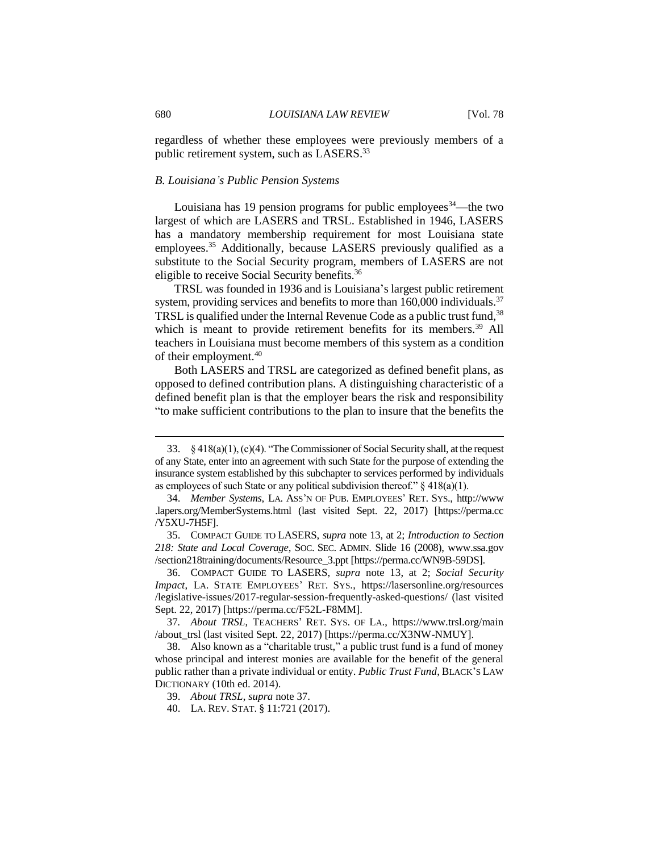regardless of whether these employees were previously members of a public retirement system, such as LASERS.<sup>33</sup>

#### *B. Louisiana's Public Pension Systems*

Louisiana has 19 pension programs for public employees<sup>34</sup>—the two largest of which are LASERS and TRSL. Established in 1946, LASERS has a mandatory membership requirement for most Louisiana state employees.<sup>35</sup> Additionally, because LASERS previously qualified as a substitute to the Social Security program, members of LASERS are not eligible to receive Social Security benefits.<sup>36</sup>

TRSL was founded in 1936 and is Louisiana's largest public retirement system, providing services and benefits to more than  $160,000$  individuals.<sup>37</sup> TRSL is qualified under the Internal Revenue Code as a public trust fund, <sup>38</sup> which is meant to provide retirement benefits for its members.<sup>39</sup> All teachers in Louisiana must become members of this system as a condition of their employment.<sup>40</sup>

Both LASERS and TRSL are categorized as defined benefit plans, as opposed to defined contribution plans. A distinguishing characteristic of a defined benefit plan is that the employer bears the risk and responsibility "to make sufficient contributions to the plan to insure that the benefits the

<sup>33.</sup> § 418(a)(1), (c)(4). "The Commissioner of Social Security shall, at the request of any State, enter into an agreement with such State for the purpose of extending the insurance system established by this subchapter to services performed by individuals as employees of such State or any political subdivision thereof."  $\S 418(a)(1)$ .

<sup>34.</sup> *Member Systems*, LA. ASS'N OF PUB. EMPLOYEES' RET. SYS., http://www .lapers.org/MemberSystems.html (last visited Sept. 22, 2017) [https://perma.cc /Y5XU-7H5F].

<sup>35.</sup> COMPACT GUIDE TO LASERS, *supra* note 13, at 2; *Introduction to Section 218: State and Local Coverage*, SOC. SEC. ADMIN. Slide 16 (2008), www.ssa.gov /section218training/documents/Resource\_3.ppt [https://perma.cc/WN9B-59DS].

<sup>36.</sup> COMPACT GUIDE TO LASERS, *supra* note 13, at 2; *Social Security Impact*, LA. STATE EMPLOYEES' RET. SYS., https://lasersonline.org/resources /legislative-issues/2017-regular-session-frequently-asked-questions/ (last visited Sept. 22, 2017) [https://perma.cc/F52L-F8MM].

<sup>37</sup>*. About TRSL*, TEACHERS' RET. SYS. OF LA., https://www.trsl.org/main /about\_trsl (last visited Sept. 22, 2017) [https://perma.cc/X3NW-NMUY].

<sup>38.</sup> Also known as a "charitable trust," a public trust fund is a fund of money whose principal and interest monies are available for the benefit of the general public rather than a private individual or entity. *Public Trust Fund*, BLACK'S LAW DICTIONARY (10th ed. 2014).

<sup>39.</sup> *About TRSL*, *supra* note 37.

<sup>40.</sup> LA. REV. STAT. § 11:721 (2017).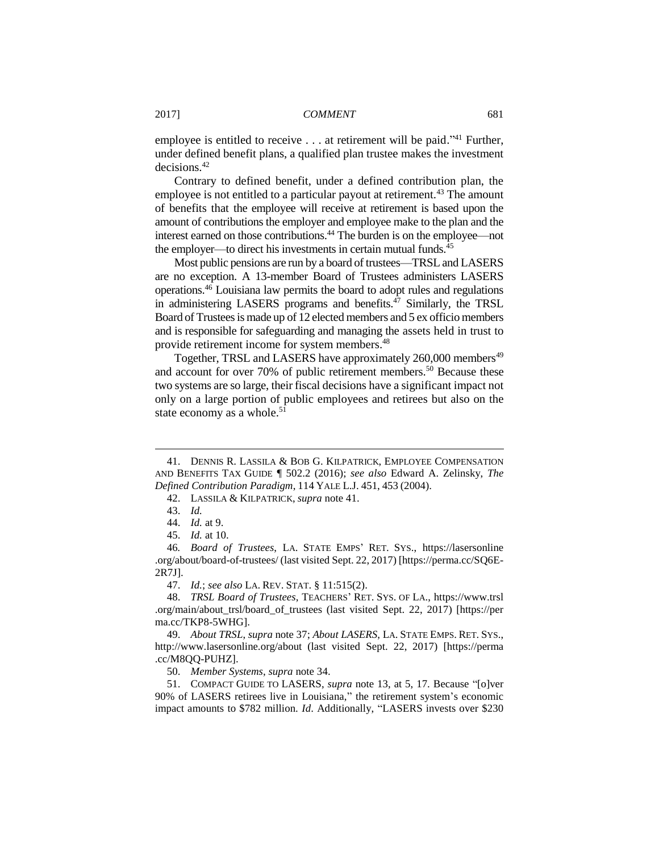employee is entitled to receive . . . at retirement will be paid."<sup>41</sup> Further, under defined benefit plans, a qualified plan trustee makes the investment decisions.<sup>42</sup>

Contrary to defined benefit, under a defined contribution plan, the employee is not entitled to a particular payout at retirement.<sup>43</sup> The amount of benefits that the employee will receive at retirement is based upon the amount of contributions the employer and employee make to the plan and the interest earned on those contributions.<sup>44</sup> The burden is on the employee—not the employer—to direct his investments in certain mutual funds.<sup>45</sup>

Most public pensions are run by a board of trustees—TRSL and LASERS are no exception. A 13-member Board of Trustees administers LASERS operations.<sup>46</sup> Louisiana law permits the board to adopt rules and regulations in administering LASERS programs and benefits. <sup>47</sup> Similarly, the TRSL Board of Trustees is made up of 12 elected members and 5 ex officio members and is responsible for safeguarding and managing the assets held in trust to provide retirement income for system members.<sup>48</sup>

Together, TRSL and LASERS have approximately 260,000 members<sup>49</sup> and account for over 70% of public retirement members.<sup>50</sup> Because these two systems are so large, their fiscal decisions have a significant impact not only on a large portion of public employees and retirees but also on the state economy as a whole.<sup>51</sup>

 $\overline{a}$ 

47. *Id.*; *see also* LA. REV. STAT. § 11:515(2).

48. *TRSL Board of Trustees*, TEACHERS' RET. SYS. OF LA., https://www.trsl .org/main/about\_trsl/board\_of\_trustees (last visited Sept. 22, 2017) [https://per ma.cc/TKP8-5WHG].

49. *About TRSL*, *supra* note 37; *About LASERS*, LA. STATE EMPS. RET. SYS., http://www.lasersonline.org/about (last visited Sept. 22, 2017) [https://perma .cc/M8QQ-PUHZ].

50. *Member Systems*, *supra* note 34.

51. COMPACT GUIDE TO LASERS, *supra* note 13, at 5, 17. Because "[o]ver 90% of LASERS retirees live in Louisiana," the retirement system's economic impact amounts to \$782 million. *Id*. Additionally, "LASERS invests over \$230

<sup>41.</sup> DENNIS R. LASSILA & BOB G. KILPATRICK, EMPLOYEE COMPENSATION AND BENEFITS TAX GUIDE ¶ 502.2 (2016); *see also* Edward A. Zelinsky, *The Defined Contribution Paradigm*, 114 YALE L.J. 451, 453 (2004).

<sup>42.</sup> LASSILA & KILPATRICK, *supra* note 41.

<sup>43.</sup> *Id.* 

<sup>44.</sup> *Id.* at 9.

<sup>45.</sup> *Id.* at 10.

<sup>46</sup>*. Board of Trustees*, LA. STATE EMPS' RET. SYS., https://lasersonline .org/about/board-of-trustees/ (last visited Sept. 22, 2017) [https://perma.cc/SQ6E-2R7J].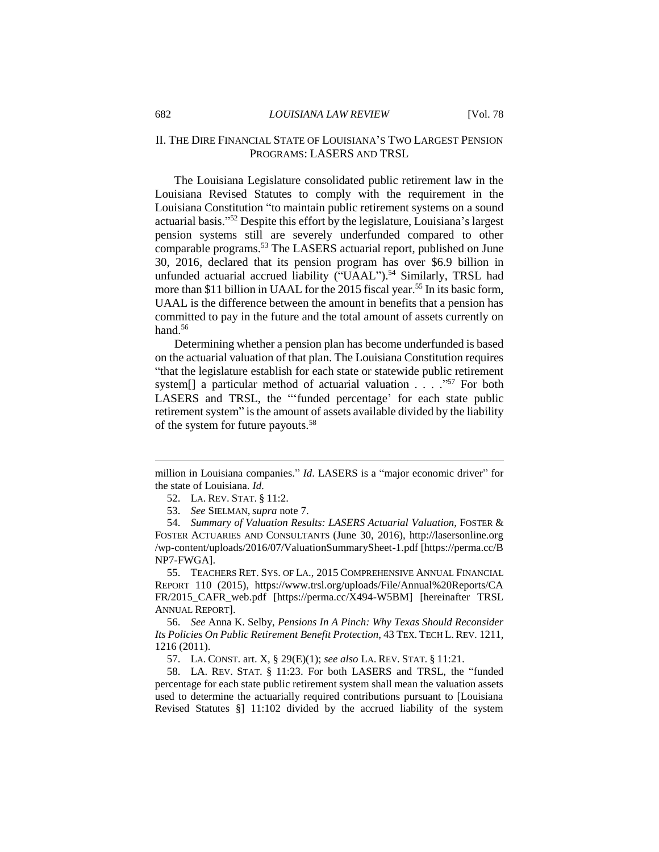# II. THE DIRE FINANCIAL STATE OF LOUISIANA'S TWO LARGEST PENSION PROGRAMS: LASERS AND TRSL

The Louisiana Legislature consolidated public retirement law in the Louisiana Revised Statutes to comply with the requirement in the Louisiana Constitution "to maintain public retirement systems on a sound actuarial basis." <sup>52</sup> Despite this effort by the legislature, Louisiana's largest pension systems still are severely underfunded compared to other comparable programs.<sup>53</sup> The LASERS actuarial report, published on June 30, 2016, declared that its pension program has over \$6.9 billion in unfunded actuarial accrued liability ("UAAL").<sup>54</sup> Similarly, TRSL had more than \$11 billion in UAAL for the 2015 fiscal year.<sup>55</sup> In its basic form, UAAL is the difference between the amount in benefits that a pension has committed to pay in the future and the total amount of assets currently on hand. $56$ 

Determining whether a pension plan has become underfunded is based on the actuarial valuation of that plan. The Louisiana Constitution requires "that the legislature establish for each state or statewide public retirement system[] a particular method of actuarial valuation . . . ." <sup>57</sup> For both LASERS and TRSL, the "'funded percentage' for each state public retirement system" is the amount of assets available divided by the liability of the system for future payouts.<sup>58</sup>

55. TEACHERS RET. SYS. OF LA., 2015 COMPREHENSIVE ANNUAL FINANCIAL REPORT 110 (2015), https://www.trsl.org/uploads/File/Annual%20Reports/CA FR/2015\_CAFR\_web.pdf [https://perma.cc/X494-W5BM] [hereinafter TRSL ANNUAL REPORT].

56. *See* Anna K. Selby, *Pensions In A Pinch: Why Texas Should Reconsider Its Policies On Public Retirement Benefit Protection*, 43 TEX. TECH L. REV. 1211, 1216 (2011).

57. LA. CONST. art. X, § 29(E)(1); *see also* LA. REV. STAT. § 11:21.

58. LA. REV. STAT. § 11:23. For both LASERS and TRSL, the "funded percentage for each state public retirement system shall mean the valuation assets used to determine the actuarially required contributions pursuant to [Louisiana Revised Statutes §] 11:102 divided by the accrued liability of the system

million in Louisiana companies." *Id*. LASERS is a "major economic driver" for the state of Louisiana. *Id.* 

<sup>52.</sup> LA. REV. STAT. § 11:2.

<sup>53.</sup> *See* SIELMAN, *supra* note 7.

<sup>54.</sup> *Summary of Valuation Results: LASERS Actuarial Valuation*, FOSTER & FOSTER ACTUARIES AND CONSULTANTS (June 30, 2016), http://lasersonline.org /wp-content/uploads/2016/07/ValuationSummarySheet-1.pdf [https://perma.cc/B NP7-FWGA].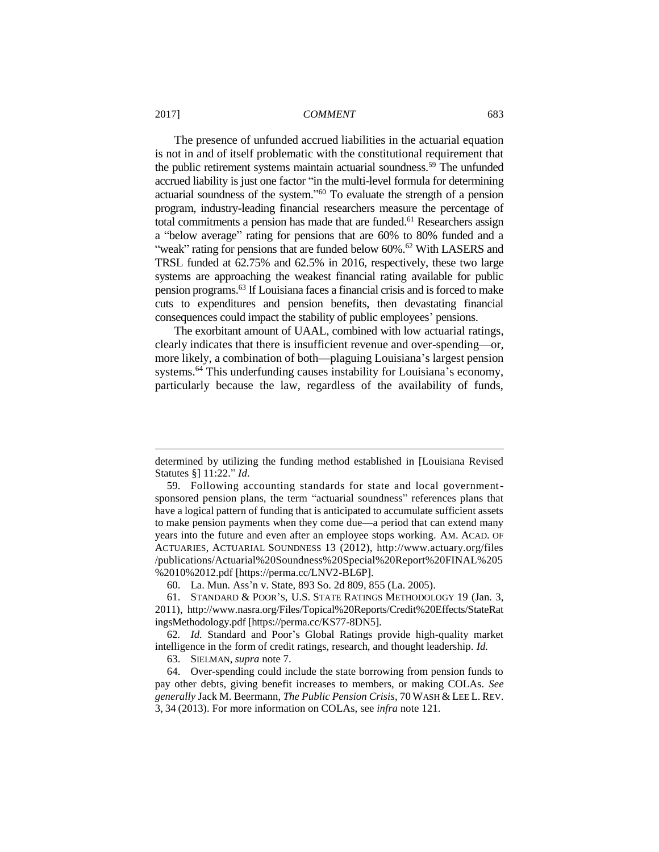The presence of unfunded accrued liabilities in the actuarial equation is not in and of itself problematic with the constitutional requirement that the public retirement systems maintain actuarial soundness.<sup>59</sup> The unfunded accrued liability is just one factor "in the multi-level formula for determining actuarial soundness of the system." <sup>60</sup> To evaluate the strength of a pension program, industry-leading financial researchers measure the percentage of total commitments a pension has made that are funded.<sup>61</sup> Researchers assign a "below average" rating for pensions that are 60% to 80% funded and a "weak" rating for pensions that are funded below 60%.<sup>62</sup> With LASERS and TRSL funded at 62.75% and 62.5% in 2016, respectively, these two large systems are approaching the weakest financial rating available for public pension programs.<sup>63</sup> If Louisiana faces a financial crisis and is forced to make cuts to expenditures and pension benefits, then devastating financial consequences could impact the stability of public employees' pensions.

The exorbitant amount of UAAL, combined with low actuarial ratings, clearly indicates that there is insufficient revenue and over-spending—or, more likely, a combination of both—plaguing Louisiana's largest pension systems.<sup>64</sup> This underfunding causes instability for Louisiana's economy, particularly because the law, regardless of the availability of funds,

determined by utilizing the funding method established in [Louisiana Revised Statutes §] 11:22." *Id*.

<sup>59.</sup> Following accounting standards for state and local governmentsponsored pension plans, the term "actuarial soundness" references plans that have a logical pattern of funding that is anticipated to accumulate sufficient assets to make pension payments when they come due—a period that can extend many years into the future and even after an employee stops working. AM. ACAD. OF ACTUARIES, ACTUARIAL SOUNDNESS 13 (2012), http://www.actuary.org/files /publications/Actuarial%20Soundness%20Special%20Report%20FINAL%205 %2010%2012.pdf [https://perma.cc/LNV2-BL6P].

<sup>60.</sup> La. Mun. Ass'n v. State, 893 So. 2d 809, 855 (La. 2005).

<sup>61.</sup> STANDARD & POOR'S, U.S. STATE RATINGS METHODOLOGY 19 (Jan. 3, 2011), http://www.nasra.org/Files/Topical%20Reports/Credit%20Effects/StateRat ingsMethodology.pdf [https://perma.cc/KS77-8DN5].

<sup>62</sup>*. Id.* Standard and Poor's Global Ratings provide high-quality market intelligence in the form of credit ratings, research, and thought leadership. *Id.*

<sup>63.</sup> SIELMAN, *supra* note 7.

<sup>64.</sup> Over-spending could include the state borrowing from pension funds to pay other debts, giving benefit increases to members, or making COLAs. *See generally* Jack M. Beermann, *The Public Pension Crisis*, 70 WASH & LEE L. REV. 3, 34 (2013). For more information on COLAs, see *infra* note 121.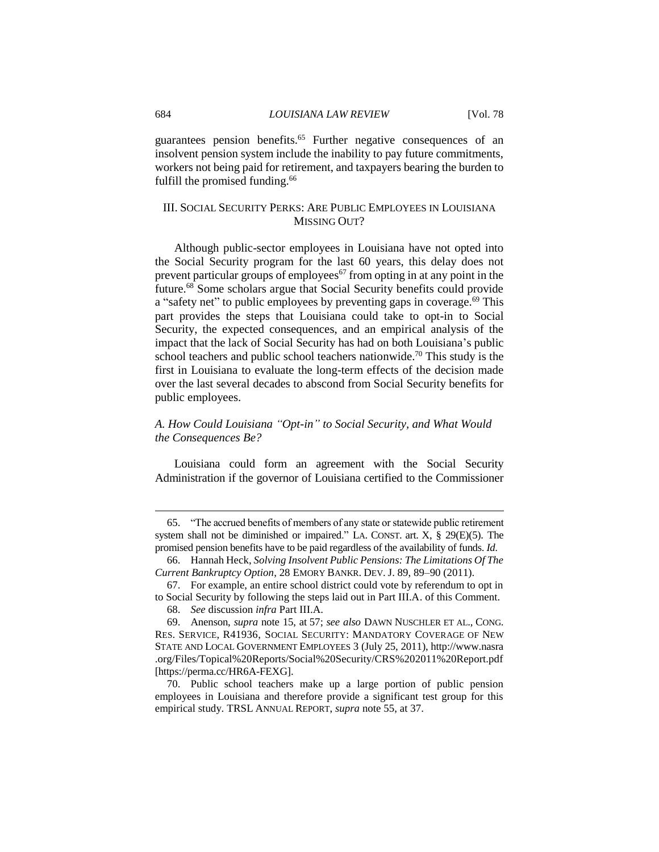guarantees pension benefits.<sup>65</sup> Further negative consequences of an insolvent pension system include the inability to pay future commitments, workers not being paid for retirement, and taxpayers bearing the burden to fulfill the promised funding.<sup>66</sup>

# III. SOCIAL SECURITY PERKS: ARE PUBLIC EMPLOYEES IN LOUISIANA MISSING OUT?

Although public-sector employees in Louisiana have not opted into the Social Security program for the last 60 years, this delay does not prevent particular groups of employees<sup>67</sup> from opting in at any point in the future.<sup>68</sup> Some scholars argue that Social Security benefits could provide a "safety net" to public employees by preventing gaps in coverage.<sup>69</sup> This part provides the steps that Louisiana could take to opt-in to Social Security, the expected consequences, and an empirical analysis of the impact that the lack of Social Security has had on both Louisiana's public school teachers and public school teachers nationwide.<sup>70</sup> This study is the first in Louisiana to evaluate the long-term effects of the decision made over the last several decades to abscond from Social Security benefits for public employees.

# *A. How Could Louisiana "Opt-in" to Social Security, and What Would the Consequences Be?*

Louisiana could form an agreement with the Social Security Administration if the governor of Louisiana certified to the Commissioner

<sup>65.</sup> "The accrued benefits of members of any state or statewide public retirement system shall not be diminished or impaired." LA. CONST. art.  $X$ ,  $\S$  29(E)(5). The promised pension benefits have to be paid regardless of the availability of funds. *Id.* 

<sup>66.</sup> Hannah Heck, *Solving Insolvent Public Pensions: The Limitations Of The Current Bankruptcy Option*, 28 EMORY BANKR. DEV. J. 89, 89–90 (2011).

<sup>67.</sup> For example, an entire school district could vote by referendum to opt in to Social Security by following the steps laid out in Part III.A. of this Comment.

<sup>68.</sup> *See* discussion *infra* Part III.A.

<sup>69.</sup> Anenson, *supra* note 15, at 57; *see also* DAWN NUSCHLER ET AL., CONG. RES. SERVICE, R41936, SOCIAL SECURITY: MANDATORY COVERAGE OF NEW STATE AND LOCAL GOVERNMENT EMPLOYEES 3 (July 25, 2011), http://www.nasra .org/Files/Topical%20Reports/Social%20Security/CRS%202011%20Report.pdf [https://perma.cc/HR6A-FEXG].

<sup>70.</sup> Public school teachers make up a large portion of public pension employees in Louisiana and therefore provide a significant test group for this empirical study. TRSL ANNUAL REPORT, *supra* note 55, at 37.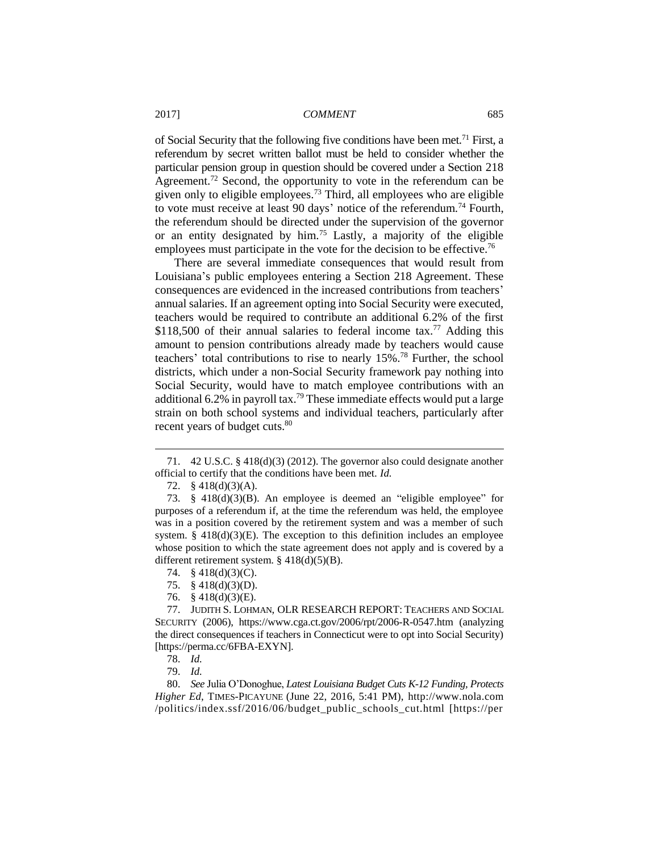of Social Security that the following five conditions have been met.<sup>71</sup> First, a referendum by secret written ballot must be held to consider whether the particular pension group in question should be covered under a Section 218 Agreement.<sup>72</sup> Second, the opportunity to vote in the referendum can be given only to eligible employees.<sup>73</sup> Third, all employees who are eligible to vote must receive at least 90 days' notice of the referendum.<sup>74</sup> Fourth, the referendum should be directed under the supervision of the governor or an entity designated by him.<sup>75</sup> Lastly, a majority of the eligible employees must participate in the vote for the decision to be effective.<sup>76</sup>

There are several immediate consequences that would result from Louisiana's public employees entering a Section 218 Agreement. These consequences are evidenced in the increased contributions from teachers' annual salaries. If an agreement opting into Social Security were executed, teachers would be required to contribute an additional 6.2% of the first \$118,500 of their annual salaries to federal income tax.<sup>77</sup> Adding this amount to pension contributions already made by teachers would cause teachers' total contributions to rise to nearly 15%.<sup>78</sup> Further, the school districts, which under a non-Social Security framework pay nothing into Social Security, would have to match employee contributions with an additional 6.2% in payroll tax.<sup>79</sup> These immediate effects would put a large strain on both school systems and individual teachers, particularly after recent years of budget cuts.<sup>80</sup>

 $\overline{a}$ 

80. *See* Julia O'Donoghue, *Latest Louisiana Budget Cuts K-12 Funding, Protects Higher Ed*, TIMES-PICAYUNE (June 22, 2016, 5:41 PM), http://www.nola.com /politics/index.ssf/2016/06/budget\_public\_schools\_cut.html [https://per

<sup>71.</sup> 42 U.S.C. § 418(d)(3) (2012). The governor also could designate another official to certify that the conditions have been met. *Id.* 

<sup>72.</sup> § 418(d)(3)(A).

<sup>73.</sup> § 418(d)(3)(B). An employee is deemed an "eligible employee" for purposes of a referendum if, at the time the referendum was held, the employee was in a position covered by the retirement system and was a member of such system.  $§$  418(d)(3)(E). The exception to this definition includes an employee whose position to which the state agreement does not apply and is covered by a different retirement system. § 418(d)(5)(B).

<sup>74.</sup> § 418(d)(3)(C).

<sup>75.</sup> § 418(d)(3)(D).

<sup>76.</sup> § 418(d)(3)(E).

<sup>77.</sup> JUDITH S. LOHMAN, OLR RESEARCH REPORT: TEACHERS AND SOCIAL SECURITY (2006), https://www.cga.ct.gov/2006/rpt/2006-R-0547.htm (analyzing the direct consequences if teachers in Connecticut were to opt into Social Security) [https://perma.cc/6FBA-EXYN].

<sup>78.</sup> *Id.* 

<sup>79.</sup> *Id.*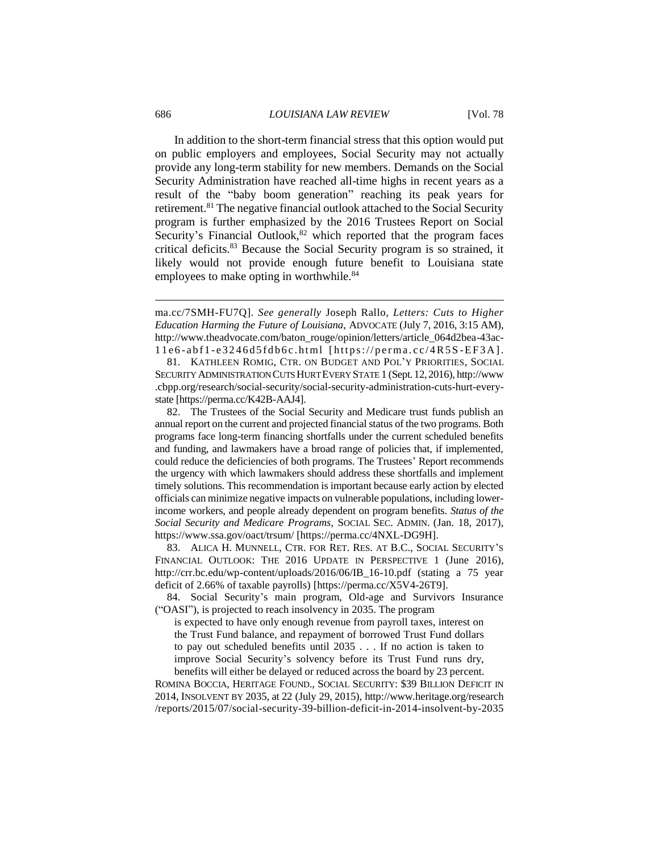In addition to the short-term financial stress that this option would put on public employers and employees, Social Security may not actually provide any long-term stability for new members. Demands on the Social Security Administration have reached all-time highs in recent years as a result of the "baby boom generation" reaching its peak years for retirement.<sup>81</sup> The negative financial outlook attached to the Social Security program is further emphasized by the 2016 Trustees Report on Social Security's Financial Outlook, $82$  which reported that the program faces critical deficits.<sup>83</sup> Because the Social Security program is so strained, it likely would not provide enough future benefit to Louisiana state employees to make opting in worthwhile.<sup>84</sup>

ma.cc/7SMH-FU7Q]. *See generally* Joseph Rallo, *Letters: Cuts to Higher Education Harming the Future of Louisiana*, ADVOCATE (July 7, 2016, 3:15 AM), http://www.theadvocate.com/baton\_rouge/opinion/letters/article\_064d2bea-43ac-11e6-abf1-e3246d5fdb6c.html [https://perma.cc/4R5S-EF3A].

81. KATHLEEN ROMIG, CTR. ON BUDGET AND POL'Y PRIORITIES, SOCIAL SECURITY ADMINISTRATION CUTS HURT EVERY STATE 1 (Sept.12,2016), http://www .cbpp.org/research/social-security/social-security-administration-cuts-hurt-everystate [https://perma.cc/K42B-AAJ4].

82. The Trustees of the Social Security and Medicare trust funds publish an annual report on the current and projected financial status of the two programs. Both programs face long-term financing shortfalls under the current scheduled benefits and funding, and lawmakers have a broad range of policies that, if implemented, could reduce the deficiencies of both programs. The Trustees' Report recommends the urgency with which lawmakers should address these shortfalls and implement timely solutions. This recommendation is important because early action by elected officials can minimize negative impacts on vulnerable populations, including lowerincome workers, and people already dependent on program benefits. *Status of the Social Security and Medicare Programs*, SOCIAL SEC. ADMIN. (Jan. 18, 2017), https://www.ssa.gov/oact/trsum/ [https://perma.cc/4NXL-DG9H].

83. ALICA H. MUNNELL, CTR. FOR RET. RES. AT B.C., SOCIAL SECURITY'S FINANCIAL OUTLOOK: THE 2016 UPDATE IN PERSPECTIVE 1 (June 2016), http://crr.bc.edu/wp-content/uploads/2016/06/IB\_16-10.pdf (stating a 75 year deficit of 2.66% of taxable payrolls) [https://perma.cc/X5V4-26T9].

84. Social Security's main program, Old-age and Survivors Insurance ("OASI"), is projected to reach insolvency in 2035. The program

is expected to have only enough revenue from payroll taxes, interest on the Trust Fund balance, and repayment of borrowed Trust Fund dollars to pay out scheduled benefits until 2035 . . . If no action is taken to improve Social Security's solvency before its Trust Fund runs dry, benefits will either be delayed or reduced across the board by 23 percent.

ROMINA BOCCIA, HERITAGE FOUND., SOCIAL SECURITY: \$39 BILLION DEFICIT IN 2014, INSOLVENT BY 2035, at 22 (July 29, 2015), http://www.heritage.org/research /reports/2015/07/social-security-39-billion-deficit-in-2014-insolvent-by-2035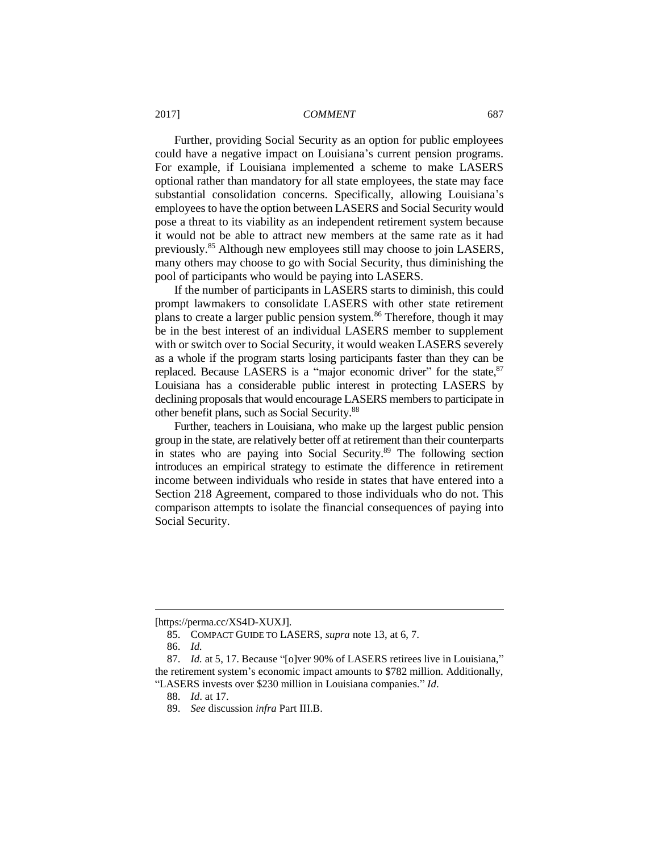Further, providing Social Security as an option for public employees could have a negative impact on Louisiana's current pension programs. For example, if Louisiana implemented a scheme to make LASERS optional rather than mandatory for all state employees, the state may face substantial consolidation concerns. Specifically, allowing Louisiana's employees to have the option between LASERS and Social Security would pose a threat to its viability as an independent retirement system because it would not be able to attract new members at the same rate as it had previously.<sup>85</sup> Although new employees still may choose to join LASERS, many others may choose to go with Social Security, thus diminishing the pool of participants who would be paying into LASERS.

If the number of participants in LASERS starts to diminish, this could prompt lawmakers to consolidate LASERS with other state retirement plans to create a larger public pension system.<sup>86</sup> Therefore, though it may be in the best interest of an individual LASERS member to supplement with or switch over to Social Security, it would weaken LASERS severely as a whole if the program starts losing participants faster than they can be replaced. Because LASERS is a "major economic driver" for the state,  $87$ Louisiana has a considerable public interest in protecting LASERS by declining proposals that would encourage LASERS members to participate in other benefit plans, such as Social Security.<sup>88</sup>

Further, teachers in Louisiana, who make up the largest public pension group in the state, are relatively better off at retirement than their counterparts in states who are paying into Social Security.<sup>89</sup> The following section introduces an empirical strategy to estimate the difference in retirement income between individuals who reside in states that have entered into a Section 218 Agreement, compared to those individuals who do not. This comparison attempts to isolate the financial consequences of paying into Social Security.

<sup>[</sup>https://perma.cc/XS4D-XUXJ].

<sup>85.</sup> COMPACT GUIDE TO LASERS, *supra* note 13, at 6, 7.

<sup>86.</sup> *Id.*

<sup>87.</sup> *Id.* at 5, 17. Because "[o]ver 90% of LASERS retirees live in Louisiana," the retirement system's economic impact amounts to \$782 million. Additionally, "LASERS invests over \$230 million in Louisiana companies." *Id*.

<sup>88.</sup> *Id*. at 17.

<sup>89.</sup> *See* discussion *infra* Part III.B.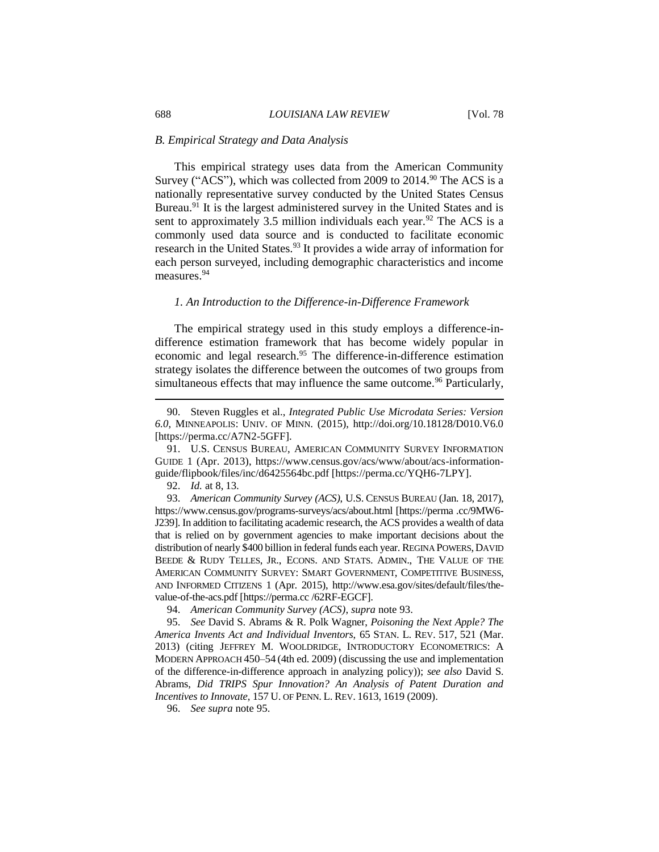# *B. Empirical Strategy and Data Analysis*

This empirical strategy uses data from the American Community Survey ("ACS"), which was collected from 2009 to 2014.<sup>90</sup> The ACS is a nationally representative survey conducted by the United States Census Bureau.<sup>91</sup> It is the largest administered survey in the United States and is sent to approximately 3.5 million individuals each year.<sup>92</sup> The ACS is a commonly used data source and is conducted to facilitate economic research in the United States.<sup>93</sup> It provides a wide array of information for each person surveyed, including demographic characteristics and income measures.<sup>94</sup>

# *1. An Introduction to the Difference-in-Difference Framework*

The empirical strategy used in this study employs a difference-indifference estimation framework that has become widely popular in economic and legal research.<sup>95</sup> The difference-in-difference estimation strategy isolates the difference between the outcomes of two groups from simultaneous effects that may influence the same outcome.<sup>96</sup> Particularly,

92. *Id.* at 8, 13.

 $\overline{a}$ 

93. *American Community Survey (ACS)*, U.S. CENSUS BUREAU (Jan. 18, 2017), https://www.census.gov/programs-surveys/acs/about.html [https://perma .cc/9MW6- J239]. In addition to facilitating academic research, the ACS provides a wealth of data that is relied on by government agencies to make important decisions about the distribution of nearly \$400 billion in federal funds each year. REGINA POWERS, DAVID BEEDE & RUDY TELLES, JR., ECONS. AND STATS. ADMIN., THE VALUE OF THE AMERICAN COMMUNITY SURVEY: SMART GOVERNMENT, COMPETITIVE BUSINESS, AND INFORMED CITIZENS 1 (Apr. 2015), http://www.esa.gov/sites/default/files/thevalue-of-the-acs.pdf [https://perma.cc /62RF-EGCF].

95. *See* David S. Abrams & R. Polk Wagner, *Poisoning the Next Apple? The America Invents Act and Individual Inventors*, 65 STAN. L. REV. 517, 521 (Mar. 2013) (citing JEFFREY M. WOOLDRIDGE, INTRODUCTORY ECONOMETRICS: A MODERN APPROACH 450–54 (4th ed. 2009) (discussing the use and implementation of the difference-in-difference approach in analyzing policy)); *see also* David S. Abrams, *Did TRIPS Spur Innovation? An Analysis of Patent Duration and Incentives to Innovate*, 157 U. OF PENN. L. REV. 1613, 1619 (2009).

96. *See supra* note 95.

<sup>90.</sup> Steven Ruggles et al., *Integrated Public Use Microdata Series: Version 6.0*, MINNEAPOLIS: UNIV. OF MINN. (2015), http://doi.org/10.18128/D010.V6.0 [https://perma.cc/A7N2-5GFF].

<sup>91.</sup> U.S. CENSUS BUREAU, AMERICAN COMMUNITY SURVEY INFORMATION GUIDE 1 (Apr. 2013), https://www.census.gov/acs/www/about/acs-informationguide/flipbook/files/inc/d6425564bc.pdf [https://perma.cc/YQH6-7LPY].

<sup>94.</sup> *American Community Survey (ACS)*, *supra* note 93.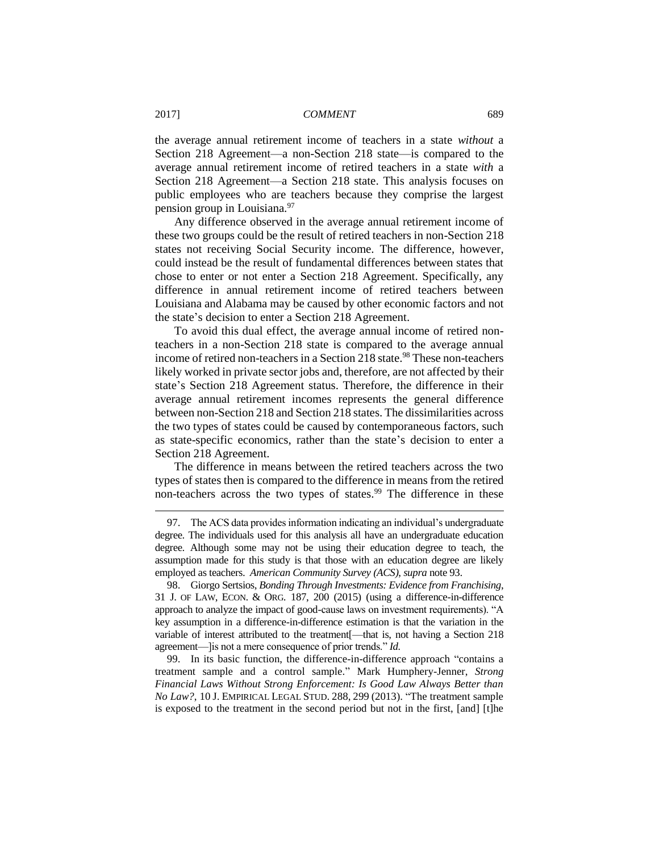the average annual retirement income of teachers in a state *without* a Section 218 Agreement—a non-Section 218 state—is compared to the average annual retirement income of retired teachers in a state *with* a Section 218 Agreement—a Section 218 state. This analysis focuses on public employees who are teachers because they comprise the largest pension group in Louisiana.<sup>97</sup>

Any difference observed in the average annual retirement income of these two groups could be the result of retired teachers in non-Section 218 states not receiving Social Security income. The difference, however, could instead be the result of fundamental differences between states that chose to enter or not enter a Section 218 Agreement. Specifically, any difference in annual retirement income of retired teachers between Louisiana and Alabama may be caused by other economic factors and not the state's decision to enter a Section 218 Agreement.

To avoid this dual effect, the average annual income of retired nonteachers in a non-Section 218 state is compared to the average annual income of retired non-teachers in a Section 218 state.<sup>98</sup> These non-teachers likely worked in private sector jobs and, therefore, are not affected by their state's Section 218 Agreement status. Therefore, the difference in their average annual retirement incomes represents the general difference between non-Section 218 and Section 218 states. The dissimilarities across the two types of states could be caused by contemporaneous factors, such as state-specific economics, rather than the state's decision to enter a Section 218 Agreement.

The difference in means between the retired teachers across the two types of states then is compared to the difference in means from the retired non-teachers across the two types of states.<sup>99</sup> The difference in these

<sup>97.</sup> The ACS data provides information indicating an individual's undergraduate degree. The individuals used for this analysis all have an undergraduate education degree. Although some may not be using their education degree to teach, the assumption made for this study is that those with an education degree are likely employed as teachers. *American Community Survey (ACS)*, *supra* note 93.

<sup>98.</sup> Giorgo Sertsios, *Bonding Through Investments: Evidence from Franchising*, 31 J. OF LAW, ECON. & ORG. 187, 200 (2015) (using a difference-in-difference approach to analyze the impact of good-cause laws on investment requirements). "A key assumption in a difference-in-difference estimation is that the variation in the variable of interest attributed to the treatment[—that is, not having a Section 218 agreement—]is not a mere consequence of prior trends." *Id.* 

<sup>99.</sup> In its basic function, the difference-in-difference approach "contains a treatment sample and a control sample." Mark Humphery-Jenner, *Strong Financial Laws Without Strong Enforcement: Is Good Law Always Better than No Law?*, 10 J. EMPIRICAL LEGAL STUD. 288, 299 (2013). "The treatment sample is exposed to the treatment in the second period but not in the first, [and] [t]he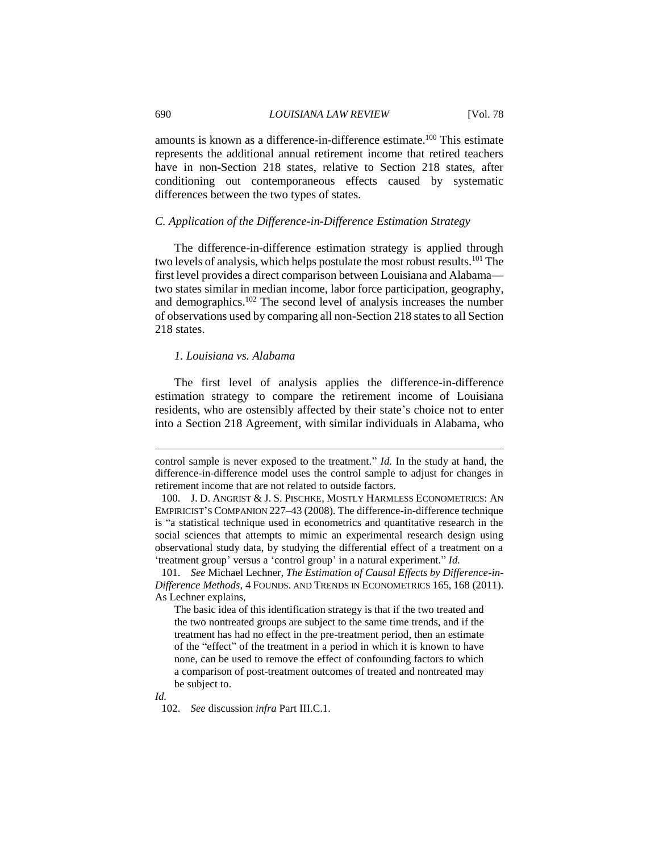amounts is known as a difference-in-difference estimate.<sup>100</sup> This estimate represents the additional annual retirement income that retired teachers have in non-Section 218 states, relative to Section 218 states, after conditioning out contemporaneous effects caused by systematic differences between the two types of states.

# *C. Application of the Difference-in-Difference Estimation Strategy*

The difference-in-difference estimation strategy is applied through two levels of analysis, which helps postulate the most robust results.<sup>101</sup> The first level provides a direct comparison between Louisiana and Alabama two states similar in median income, labor force participation, geography, and demographics.<sup>102</sup> The second level of analysis increases the number of observations used by comparing all non-Section 218 states to all Section 218 states.

# *1. Louisiana vs. Alabama*

The first level of analysis applies the difference-in-difference estimation strategy to compare the retirement income of Louisiana residents, who are ostensibly affected by their state's choice not to enter into a Section 218 Agreement, with similar individuals in Alabama, who

*Id.*

control sample is never exposed to the treatment." *Id.* In the study at hand, the difference-in-difference model uses the control sample to adjust for changes in retirement income that are not related to outside factors.

<sup>100.</sup> J. D. ANGRIST & J. S. PISCHKE, MOSTLY HARMLESS ECONOMETRICS: AN EMPIRICIST'S COMPANION 227–43 (2008). The difference-in-difference technique is "a statistical technique used in econometrics and quantitative research in the social sciences that attempts to mimic an experimental research design using observational study data, by studying the differential effect of a treatment on a 'treatment group' versus a 'control group' in a natural experiment." *Id.* 

<sup>101.</sup> *See* Michael Lechner, *The Estimation of Causal Effects by Difference-in-Difference Methods*, 4 FOUNDS. AND TRENDS IN ECONOMETRICS 165, 168 (2011). As Lechner explains,

The basic idea of this identification strategy is that if the two treated and the two nontreated groups are subject to the same time trends, and if the treatment has had no effect in the pre-treatment period, then an estimate of the "effect" of the treatment in a period in which it is known to have none, can be used to remove the effect of confounding factors to which a comparison of post-treatment outcomes of treated and nontreated may be subject to.

<sup>102.</sup> *See* discussion *infra* Part III.C.1.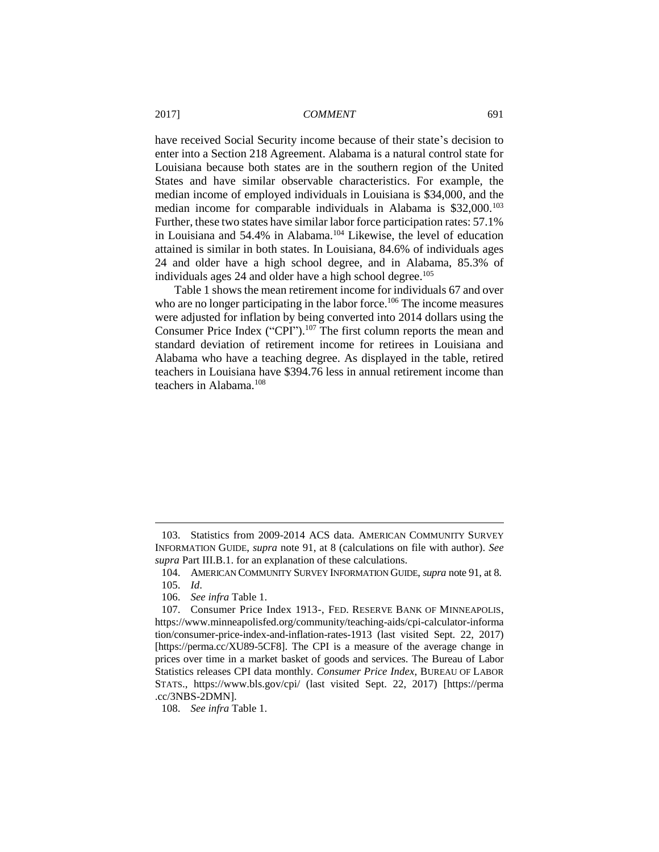have received Social Security income because of their state's decision to enter into a Section 218 Agreement. Alabama is a natural control state for Louisiana because both states are in the southern region of the United States and have similar observable characteristics. For example, the median income of employed individuals in Louisiana is \$34,000, and the median income for comparable individuals in Alabama is \$32,000.<sup>103</sup> Further, these two states have similar labor force participation rates: 57.1% in Louisiana and 54.4% in Alabama.<sup>104</sup> Likewise, the level of education attained is similar in both states. In Louisiana, 84.6% of individuals ages 24 and older have a high school degree, and in Alabama, 85.3% of individuals ages 24 and older have a high school degree. 105

Table 1 shows the mean retirement income for individuals 67 and over who are no longer participating in the labor force.<sup>106</sup> The income measures were adjusted for inflation by being converted into 2014 dollars using the Consumer Price Index ("CPI"). <sup>107</sup> The first column reports the mean and standard deviation of retirement income for retirees in Louisiana and Alabama who have a teaching degree. As displayed in the table, retired teachers in Louisiana have \$394.76 less in annual retirement income than teachers in Alabama.<sup>108</sup>

<sup>103.</sup> Statistics from 2009-2014 ACS data. AMERICAN COMMUNITY SURVEY INFORMATION GUIDE, *supra* note 91, at 8 (calculations on file with author). *See supra* Part III.B.1. for an explanation of these calculations.

<sup>104.</sup> AMERICAN COMMUNITY SURVEY INFORMATION GUIDE, *supra* note 91, at 8.

<sup>105.</sup> *Id*.

<sup>106.</sup> *See infra* Table 1.

<sup>107.</sup> Consumer Price Index 1913-, FED. RESERVE BANK OF MINNEAPOLIS, https://www.minneapolisfed.org/community/teaching-aids/cpi-calculator-informa tion/consumer-price-index-and-inflation-rates-1913 (last visited Sept. 22, 2017) [https://perma.cc/XU89-5CF8]. The CPI is a measure of the average change in prices over time in a market basket of goods and services. The Bureau of Labor Statistics releases CPI data monthly. *Consumer Price Index*, BUREAU OF LABOR STATS., https://www.bls.gov/cpi/ (last visited Sept. 22, 2017) [https://perma .cc/3NBS-2DMN].

<sup>108.</sup> *See infra* Table 1.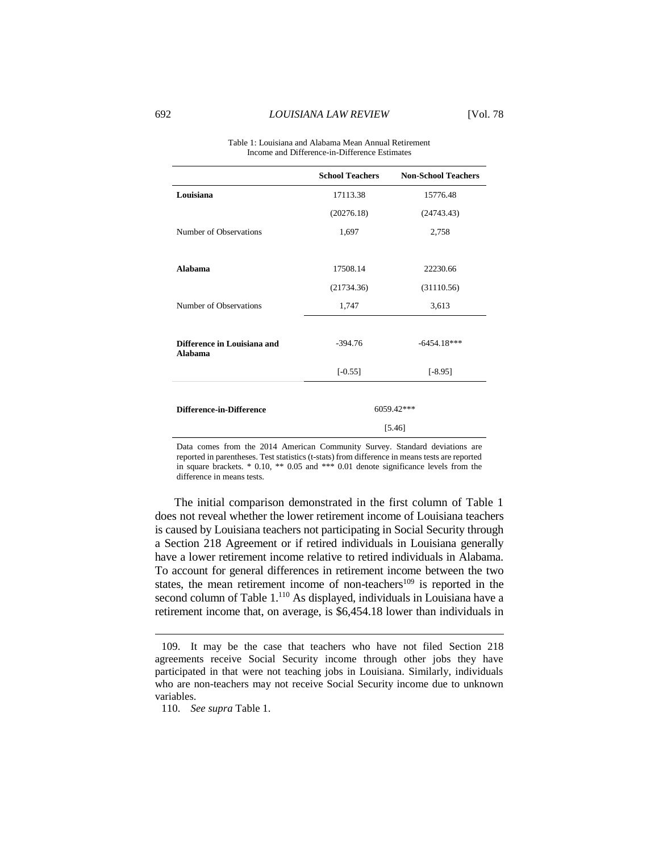| Table 1: Louisiana and Alabama Mean Annual Retirement |
|-------------------------------------------------------|
| Income and Difference-in-Difference Estimates         |

|                                        | <b>School Teachers</b> | <b>Non-School Teachers</b> |
|----------------------------------------|------------------------|----------------------------|
| Louisiana                              | 17113.38               | 15776.48                   |
|                                        | (20276.18)             | (24743.43)                 |
| Number of Observations                 | 1,697                  | 2,758                      |
|                                        |                        |                            |
| Alahama                                | 17508.14               | 22230.66                   |
|                                        | (21734.36)             | (31110.56)                 |
| Number of Observations                 | 1,747                  | 3,613                      |
|                                        |                        |                            |
| Difference in Louisiana and<br>Alabama | $-394.76$              | $-6454.18***$              |
|                                        | $[-0.55]$              | $[-8.95]$                  |
|                                        |                        |                            |
| <b>Difference-in-Difference</b>        |                        | 6059.42***                 |
|                                        | [5.46]                 |                            |

Data comes from the 2014 American Community Survey. Standard deviations are reported in parentheses. Test statistics (t-stats) from difference in means tests are reported in square brackets. \* 0.10, \*\* 0.05 and \*\*\* 0.01 denote significance levels from the difference in means tests.

The initial comparison demonstrated in the first column of Table 1 does not reveal whether the lower retirement income of Louisiana teachers is caused by Louisiana teachers not participating in Social Security through a Section 218 Agreement or if retired individuals in Louisiana generally have a lower retirement income relative to retired individuals in Alabama. To account for general differences in retirement income between the two states, the mean retirement income of non-teachers<sup>109</sup> is reported in the second column of Table 1.<sup>110</sup> As displayed, individuals in Louisiana have a retirement income that, on average, is \$6,454.18 lower than individuals in

<sup>109.</sup> It may be the case that teachers who have not filed Section 218 agreements receive Social Security income through other jobs they have participated in that were not teaching jobs in Louisiana. Similarly, individuals who are non-teachers may not receive Social Security income due to unknown variables.

<sup>110.</sup> *See supra* Table 1.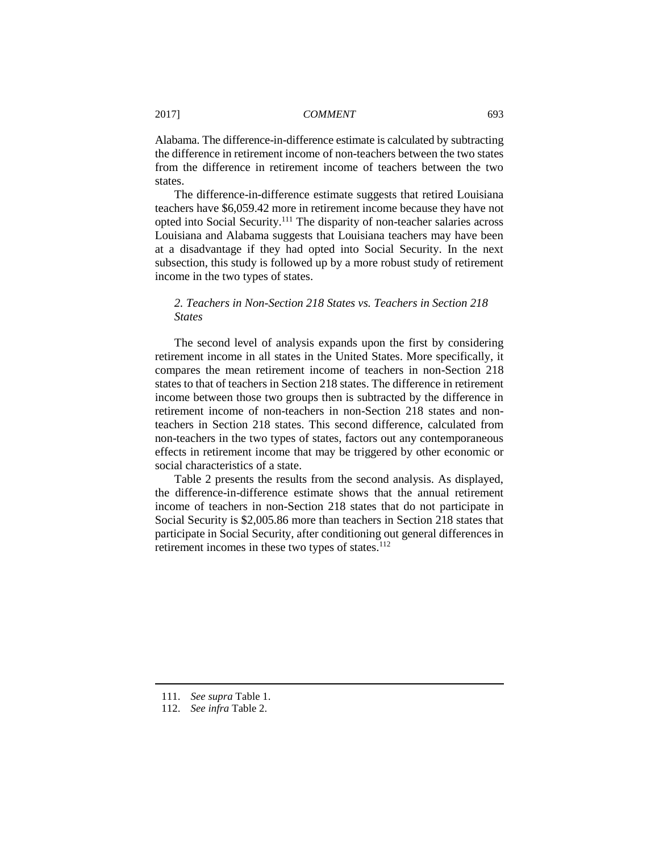Alabama. The difference-in-difference estimate is calculated by subtracting the difference in retirement income of non-teachers between the two states from the difference in retirement income of teachers between the two states.

The difference-in-difference estimate suggests that retired Louisiana teachers have \$6,059.42 more in retirement income because they have not opted into Social Security.<sup>111</sup> The disparity of non-teacher salaries across Louisiana and Alabama suggests that Louisiana teachers may have been at a disadvantage if they had opted into Social Security. In the next subsection, this study is followed up by a more robust study of retirement income in the two types of states.

# *2. Teachers in Non-Section 218 States vs. Teachers in Section 218 States*

The second level of analysis expands upon the first by considering retirement income in all states in the United States. More specifically, it compares the mean retirement income of teachers in non-Section 218 states to that of teachers in Section 218 states. The difference in retirement income between those two groups then is subtracted by the difference in retirement income of non-teachers in non-Section 218 states and nonteachers in Section 218 states. This second difference, calculated from non-teachers in the two types of states, factors out any contemporaneous effects in retirement income that may be triggered by other economic or social characteristics of a state.

Table 2 presents the results from the second analysis. As displayed, the difference-in-difference estimate shows that the annual retirement income of teachers in non-Section 218 states that do not participate in Social Security is \$2,005.86 more than teachers in Section 218 states that participate in Social Security, after conditioning out general differences in retirement incomes in these two types of states.<sup>112</sup>

<sup>111.</sup> *See supra* Table 1.

<sup>112.</sup> *See infra* Table 2.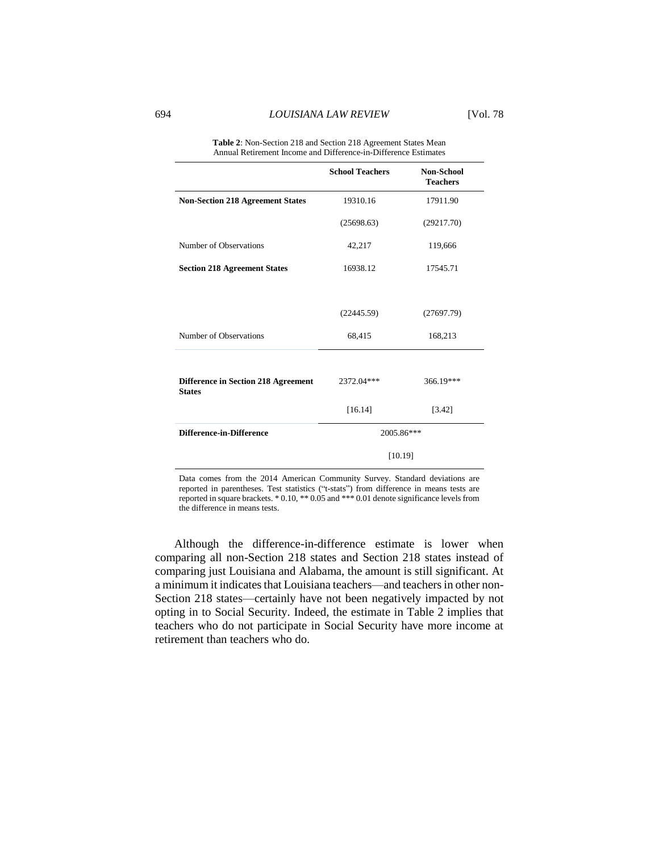| Annual Retirement Income and Difference-in-Difference Estimates |                        |                                      |
|-----------------------------------------------------------------|------------------------|--------------------------------------|
|                                                                 | <b>School Teachers</b> | <b>Non-School</b><br><b>Teachers</b> |
| <b>Non-Section 218 Agreement States</b>                         | 19310.16               | 17911.90                             |
|                                                                 | (25698.63)             | (29217.70)                           |
| Number of Observations                                          | 42,217                 | 119,666                              |
| <b>Section 218 Agreement States</b>                             | 16938.12               | 17545.71                             |
|                                                                 |                        |                                      |
|                                                                 | (22445.59)             | (27697.79)                           |
| Number of Observations                                          | 68,415                 | 168,213                              |
|                                                                 |                        |                                      |
| Difference in Section 218 Agreement<br><b>States</b>            | 2372.04***             | 366.19***                            |
|                                                                 | [16.14]                | [3.42]                               |
| <b>Difference-in-Difference</b>                                 | 2005.86***<br>[10.19]  |                                      |
|                                                                 |                        |                                      |

**Table 2**: Non-Section 218 and Section 218 Agreement States Mean Annual Retirement Income and Difference-in-Difference Estimates

Data comes from the 2014 American Community Survey. Standard deviations are reported in parentheses. Test statistics ("t-stats") from difference in means tests are reported in square brackets. \* 0.10, \*\* 0.05 and \*\*\* 0.01 denote significance levels from the difference in means tests.

Although the difference-in-difference estimate is lower when comparing all non-Section 218 states and Section 218 states instead of comparing just Louisiana and Alabama, the amount is still significant. At a minimum it indicates that Louisiana teachers—and teachers in other non-Section 218 states—certainly have not been negatively impacted by not opting in to Social Security. Indeed, the estimate in Table 2 implies that teachers who do not participate in Social Security have more income at retirement than teachers who do.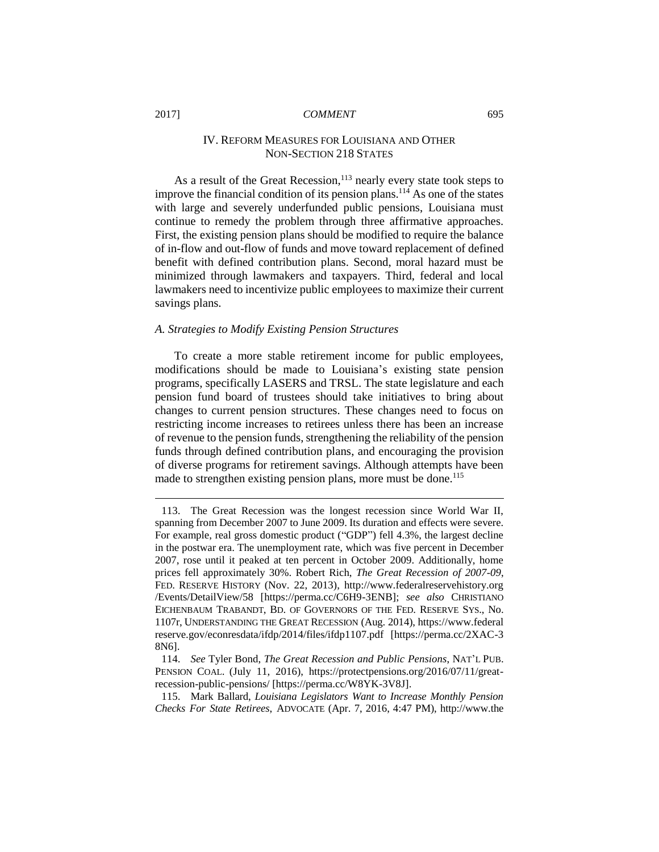# IV. REFORM MEASURES FOR LOUISIANA AND OTHER NON-SECTION 218 STATES

As a result of the Great Recession, $113$  nearly every state took steps to improve the financial condition of its pension plans.<sup>114</sup> As one of the states with large and severely underfunded public pensions, Louisiana must continue to remedy the problem through three affirmative approaches. First, the existing pension plans should be modified to require the balance of in-flow and out-flow of funds and move toward replacement of defined benefit with defined contribution plans. Second, moral hazard must be minimized through lawmakers and taxpayers. Third, federal and local lawmakers need to incentivize public employees to maximize their current savings plans.

#### *A. Strategies to Modify Existing Pension Structures*

To create a more stable retirement income for public employees, modifications should be made to Louisiana's existing state pension programs, specifically LASERS and TRSL. The state legislature and each pension fund board of trustees should take initiatives to bring about changes to current pension structures. These changes need to focus on restricting income increases to retirees unless there has been an increase of revenue to the pension funds, strengthening the reliability of the pension funds through defined contribution plans, and encouraging the provision of diverse programs for retirement savings. Although attempts have been made to strengthen existing pension plans, more must be done.<sup>115</sup>

115. Mark Ballard, *Louisiana Legislators Want to Increase Monthly Pension Checks For State Retirees*, ADVOCATE (Apr. 7, 2016, 4:47 PM), http://www.the

<sup>113.</sup> The Great Recession was the longest recession since World War II, spanning from December 2007 to June 2009. Its duration and effects were severe. For example, real gross domestic product ("GDP") fell 4.3%, the largest decline in the postwar era. The unemployment rate, which was five percent in December 2007, rose until it peaked at ten percent in October 2009. Additionally, home prices fell approximately 30%. Robert Rich, *The Great Recession of 2007-09*, FED. RESERVE HISTORY (Nov. 22, 2013), http://www.federalreservehistory.org /Events/DetailView/58 [https://perma.cc/C6H9-3ENB]; *see also* CHRISTIANO EICHENBAUM TRABANDT, BD. OF GOVERNORS OF THE FED. RESERVE SYS., No. 1107r, UNDERSTANDING THE GREAT RECESSION (Aug. 2014), https://www.federal reserve.gov/econresdata/ifdp/2014/files/ifdp1107.pdf [https://perma.cc/2XAC-3 8N6].

<sup>114.</sup> *See* Tyler Bond, *The Great Recession and Public Pensions*, NAT'L PUB. PENSION COAL. (July 11, 2016), https://protectpensions.org/2016/07/11/greatrecession-public-pensions/ [https://perma.cc/W8YK-3V8J].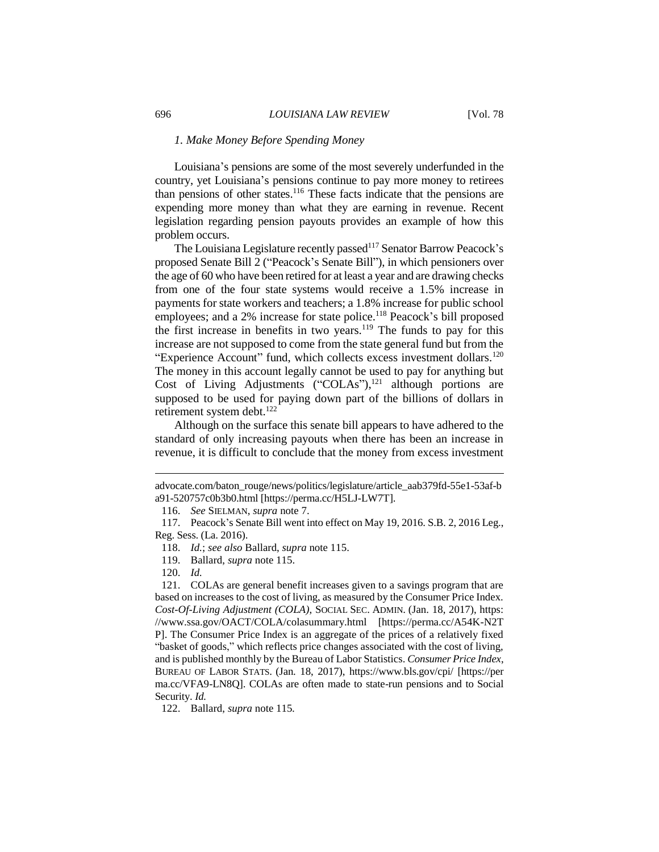# *1. Make Money Before Spending Money*

Louisiana's pensions are some of the most severely underfunded in the country, yet Louisiana's pensions continue to pay more money to retirees than pensions of other states. <sup>116</sup> These facts indicate that the pensions are expending more money than what they are earning in revenue. Recent legislation regarding pension payouts provides an example of how this problem occurs.

The Louisiana Legislature recently passed<sup>117</sup> Senator Barrow Peacock's proposed Senate Bill 2 ("Peacock's Senate Bill"), in which pensioners over the age of 60 who have been retired for at least a year and are drawing checks from one of the four state systems would receive a 1.5% increase in payments for state workers and teachers; a 1.8% increase for public school employees; and a 2% increase for state police.<sup>118</sup> Peacock's bill proposed the first increase in benefits in two years.<sup>119</sup> The funds to pay for this increase are not supposed to come from the state general fund but from the "Experience Account" fund, which collects excess investment dollars.<sup>120</sup> The money in this account legally cannot be used to pay for anything but Cost of Living Adjustments ("COLAs"),<sup>121</sup> although portions are supposed to be used for paying down part of the billions of dollars in retirement system debt.<sup>122</sup>

Although on the surface this senate bill appears to have adhered to the standard of only increasing payouts when there has been an increase in revenue, it is difficult to conclude that the money from excess investment

advocate.com/baton\_rouge/news/politics/legislature/article\_aab379fd-55e1-53af-b a91-520757c0b3b0.html [https://perma.cc/H5LJ-LW7T].

<sup>116.</sup> *See* SIELMAN, *supra* note 7.

<sup>117.</sup> Peacock's Senate Bill went into effect on May 19, 2016. S.B. 2, 2016 Leg., Reg. Sess. (La. 2016).

<sup>118.</sup> *Id.*; *see also* Ballard, *supra* note 115.

<sup>119.</sup> Ballard, *supra* note 115.

<sup>120.</sup> *Id.*

<sup>121.</sup> COLAs are general benefit increases given to a savings program that are based on increases to the cost of living, as measured by the Consumer Price Index. *Cost-Of-Living Adjustment (COLA)*, SOCIAL SEC. ADMIN. (Jan. 18, 2017), https: //www.ssa.gov/OACT/COLA/colasummary.html [https://perma.cc/A54K-N2T P]. The Consumer Price Index is an aggregate of the prices of a relatively fixed "basket of goods," which reflects price changes associated with the cost of living, and is published monthly by the Bureau of Labor Statistics. *Consumer Price Index*, BUREAU OF LABOR STATS. (Jan. 18, 2017), https://www.bls.gov/cpi/ [https://per ma.cc/VFA9-LN8Q]. COLAs are often made to state-run pensions and to Social Security. *Id.*

<sup>122.</sup> Ballard, *supra* note 115*.*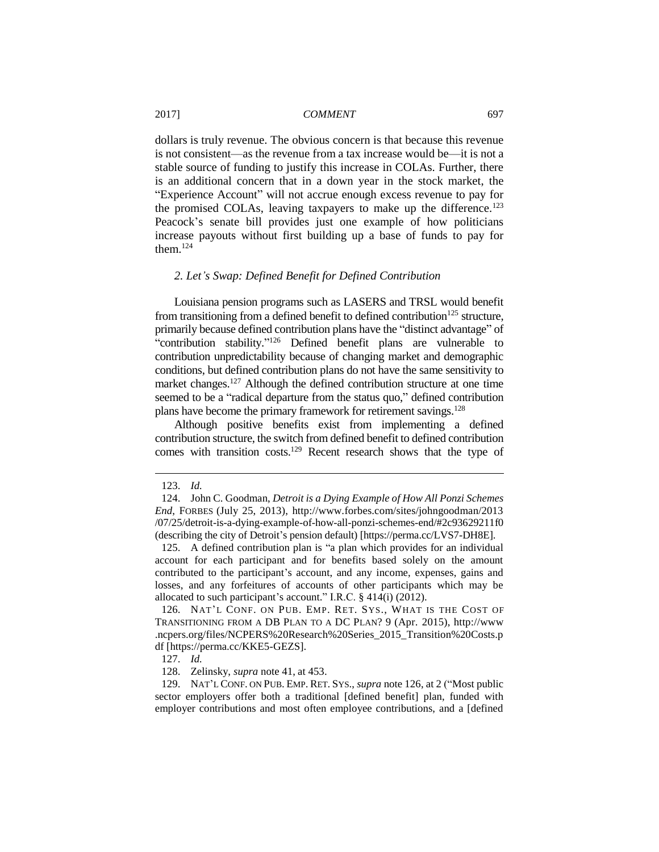dollars is truly revenue. The obvious concern is that because this revenue is not consistent—as the revenue from a tax increase would be—it is not a stable source of funding to justify this increase in COLAs. Further, there is an additional concern that in a down year in the stock market, the "Experience Account" will not accrue enough excess revenue to pay for the promised COLAs, leaving taxpayers to make up the difference.<sup>123</sup> Peacock's senate bill provides just one example of how politicians increase payouts without first building up a base of funds to pay for them.<sup>124</sup>

# *2. Let's Swap: Defined Benefit for Defined Contribution*

Louisiana pension programs such as LASERS and TRSL would benefit from transitioning from a defined benefit to defined contribution<sup>125</sup> structure, primarily because defined contribution plans have the "distinct advantage" of "contribution stability."<sup>126</sup> Defined benefit plans are vulnerable to contribution unpredictability because of changing market and demographic conditions, but defined contribution plans do not have the same sensitivity to market changes.<sup>127</sup> Although the defined contribution structure at one time seemed to be a "radical departure from the status quo," defined contribution plans have become the primary framework for retirement savings.<sup>128</sup>

Although positive benefits exist from implementing a defined contribution structure, the switch from defined benefit to defined contribution comes with transition costs.<sup>129</sup> Recent research shows that the type of

 $\overline{a}$ 

126. NAT'L CONF. ON PUB. EMP. RET. SYS., WHAT IS THE COST OF TRANSITIONING FROM A DB PLAN TO A DC PLAN? 9 (Apr. 2015), http://www .ncpers.org/files/NCPERS%20Research%20Series\_2015\_Transition%20Costs.p df [https://perma.cc/KKE5-GEZS].

129. NAT'L CONF. ON PUB. EMP. RET. SYS., *supra* note 126, at 2 ("Most public sector employers offer both a traditional [defined benefit] plan, funded with employer contributions and most often employee contributions, and a [defined

<sup>123.</sup> *Id.* 

<sup>124.</sup> John C. Goodman, *Detroit is a Dying Example of How All Ponzi Schemes End*, FORBES (July 25, 2013), http://www.forbes.com/sites/johngoodman/2013 /07/25/detroit-is-a-dying-example-of-how-all-ponzi-schemes-end/#2c93629211f0 (describing the city of Detroit's pension default) [https://perma.cc/LVS7-DH8E].

<sup>125.</sup> A defined contribution plan is "a plan which provides for an individual account for each participant and for benefits based solely on the amount contributed to the participant's account, and any income, expenses, gains and losses, and any forfeitures of accounts of other participants which may be allocated to such participant's account." I.R.C. § 414(i) (2012).

<sup>127.</sup> *Id.*

<sup>128.</sup> Zelinsky, *supra* note 41, at 453.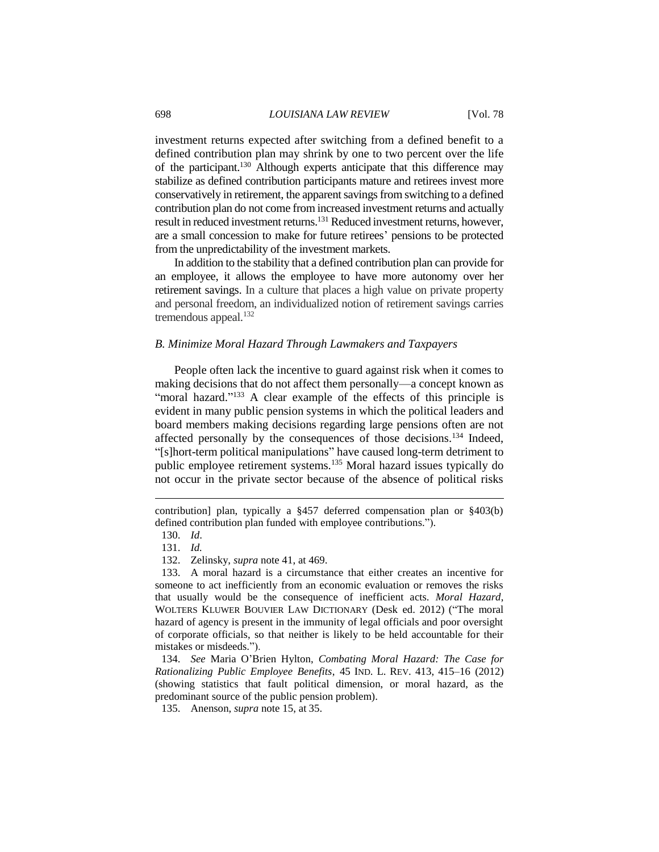investment returns expected after switching from a defined benefit to a defined contribution plan may shrink by one to two percent over the life of the participant.<sup>130</sup> Although experts anticipate that this difference may stabilize as defined contribution participants mature and retirees invest more conservatively in retirement, the apparent savings from switching to a defined contribution plan do not come from increased investment returns and actually result in reduced investment returns.<sup>131</sup> Reduced investment returns, however, are a small concession to make for future retirees' pensions to be protected from the unpredictability of the investment markets.

In addition to the stability that a defined contribution plan can provide for an employee, it allows the employee to have more autonomy over her retirement savings. In a culture that places a high value on private property and personal freedom, an individualized notion of retirement savings carries tremendous appeal. $132$ 

# *B. Minimize Moral Hazard Through Lawmakers and Taxpayers*

People often lack the incentive to guard against risk when it comes to making decisions that do not affect them personally—a concept known as "moral hazard."<sup>133</sup> A clear example of the effects of this principle is evident in many public pension systems in which the political leaders and board members making decisions regarding large pensions often are not affected personally by the consequences of those decisions.<sup>134</sup> Indeed, "[s]hort-term political manipulations" have caused long-term detriment to public employee retirement systems.<sup>135</sup> Moral hazard issues typically do not occur in the private sector because of the absence of political risks

 $\overline{a}$ 

133. A moral hazard is a circumstance that either creates an incentive for someone to act inefficiently from an economic evaluation or removes the risks that usually would be the consequence of inefficient acts. *Moral Hazard*, WOLTERS KLUWER BOUVIER LAW DICTIONARY (Desk ed. 2012) ("The moral hazard of agency is present in the immunity of legal officials and poor oversight of corporate officials, so that neither is likely to be held accountable for their mistakes or misdeeds.").

134. *See* Maria O'Brien Hylton, *Combating Moral Hazard: The Case for Rationalizing Public Employee Benefits*, 45 IND. L. REV. 413, 415–16 (2012) (showing statistics that fault political dimension, or moral hazard, as the predominant source of the public pension problem).

contribution] plan, typically a §457 deferred compensation plan or §403(b) defined contribution plan funded with employee contributions.").

<sup>130.</sup> *Id*.

<sup>131.</sup> *Id.* 

<sup>132.</sup> Zelinsky, *supra* note 41, at 469.

<sup>135.</sup> Anenson, *supra* note 15, at 35.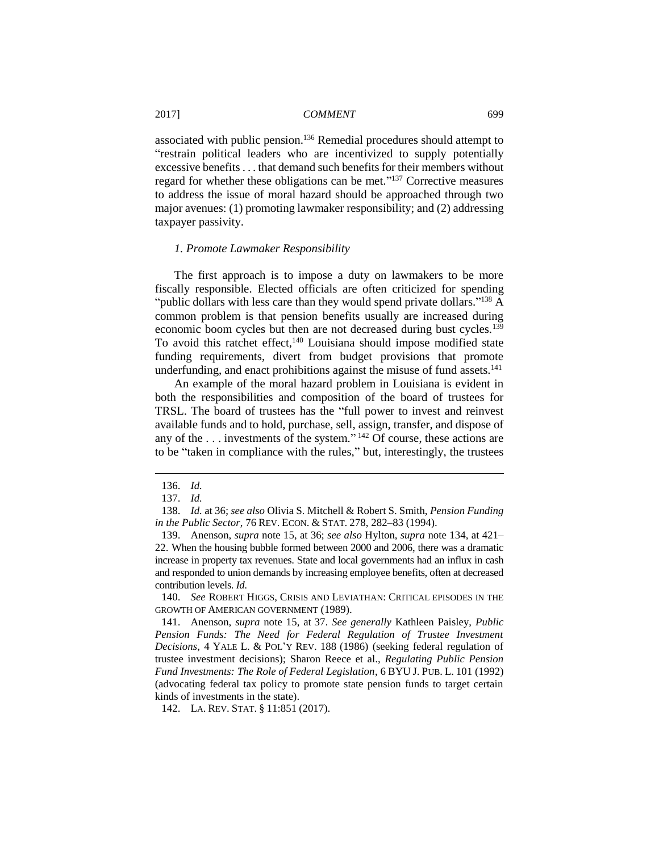associated with public pension.<sup>136</sup> Remedial procedures should attempt to "restrain political leaders who are incentivized to supply potentially excessive benefits . . . that demand such benefits for their members without regard for whether these obligations can be met."<sup>137</sup> Corrective measures to address the issue of moral hazard should be approached through two major avenues: (1) promoting lawmaker responsibility; and (2) addressing taxpayer passivity.

#### *1. Promote Lawmaker Responsibility*

The first approach is to impose a duty on lawmakers to be more fiscally responsible. Elected officials are often criticized for spending "public dollars with less care than they would spend private dollars."<sup>138</sup> A common problem is that pension benefits usually are increased during economic boom cycles but then are not decreased during bust cycles.<sup>139</sup> To avoid this ratchet effect,<sup>140</sup> Louisiana should impose modified state funding requirements, divert from budget provisions that promote underfunding, and enact prohibitions against the misuse of fund assets.<sup>141</sup>

An example of the moral hazard problem in Louisiana is evident in both the responsibilities and composition of the board of trustees for TRSL. The board of trustees has the "full power to invest and reinvest available funds and to hold, purchase, sell, assign, transfer, and dispose of any of the ... investments of the system."<sup>142</sup> Of course, these actions are to be "taken in compliance with the rules," but, interestingly, the trustees

<sup>136.</sup> *Id.*

<sup>137.</sup> *Id.*

<sup>138.</sup> *Id.* at 36; *see also* Olivia S. Mitchell & Robert S. Smith, *Pension Funding in the Public Sector*, 76 REV. ECON. & STAT. 278, 282–83 (1994).

<sup>139.</sup> Anenson, *supra* note 15, at 36; *see also* Hylton, *supra* note 134, at 421– 22. When the housing bubble formed between 2000 and 2006, there was a dramatic increase in property tax revenues. State and local governments had an influx in cash and responded to union demands by increasing employee benefits, often at decreased contribution levels. *Id.*

<sup>140.</sup> *See* ROBERT HIGGS, CRISIS AND LEVIATHAN: CRITICAL EPISODES IN THE GROWTH OF AMERICAN GOVERNMENT (1989).

<sup>141.</sup> Anenson, *supra* note 15, at 37. *See generally* Kathleen Paisley, *Public Pension Funds: The Need for Federal Regulation of Trustee Investment Decisions*, 4 YALE L. & POL'Y REV. 188 (1986) (seeking federal regulation of trustee investment decisions); Sharon Reece et al., *Regulating Public Pension Fund Investments: The Role of Federal Legislation*, 6 BYU J. PUB. L. 101 (1992) (advocating federal tax policy to promote state pension funds to target certain kinds of investments in the state).

<sup>142.</sup> LA. REV. STAT. § 11:851 (2017).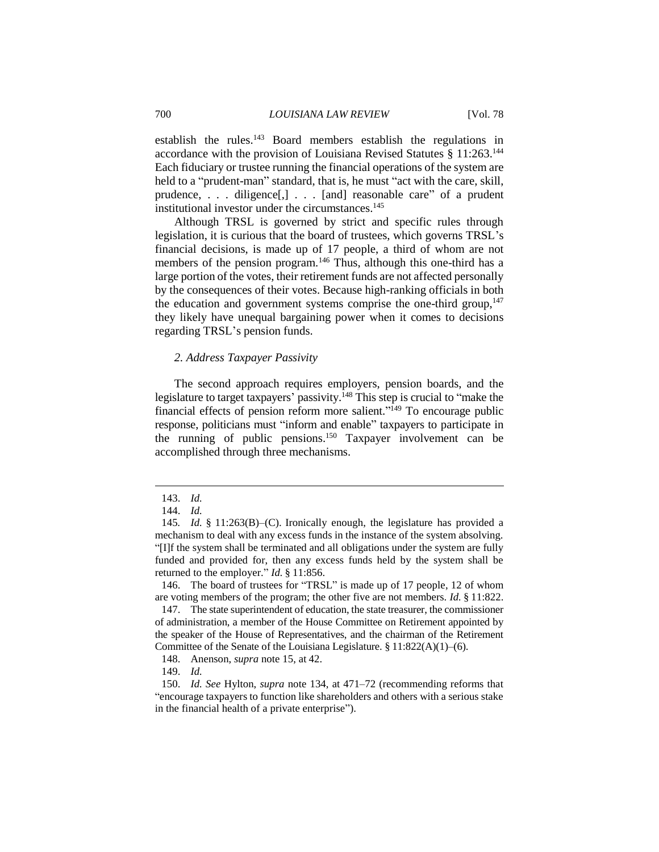establish the rules.<sup>143</sup> Board members establish the regulations in accordance with the provision of Louisiana Revised Statutes § 11:263.<sup>144</sup> Each fiduciary or trustee running the financial operations of the system are held to a "prudent-man" standard, that is, he must "act with the care, skill, prudence, . . . diligence[,] . . . [and] reasonable care" of a prudent institutional investor under the circumstances.<sup>145</sup>

Although TRSL is governed by strict and specific rules through legislation, it is curious that the board of trustees, which governs TRSL's financial decisions, is made up of 17 people, a third of whom are not members of the pension program.<sup>146</sup> Thus, although this one-third has a large portion of the votes, their retirement funds are not affected personally by the consequences of their votes. Because high-ranking officials in both the education and government systems comprise the one-third group,  $147$ they likely have unequal bargaining power when it comes to decisions regarding TRSL's pension funds.

#### *2. Address Taxpayer Passivity*

The second approach requires employers, pension boards, and the legislature to target taxpayers' passivity.<sup>148</sup> This step is crucial to "make the financial effects of pension reform more salient."<sup>149</sup> To encourage public response, politicians must "inform and enable" taxpayers to participate in the running of public pensions.<sup>150</sup> Taxpayer involvement can be accomplished through three mechanisms.

 $\overline{a}$ 

146. The board of trustees for "TRSL" is made up of 17 people, 12 of whom are voting members of the program; the other five are not members. *Id.* § 11:822.

147. The state superintendent of education, the state treasurer, the commissioner of administration, a member of the House Committee on Retirement appointed by the speaker of the House of Representatives, and the chairman of the Retirement Committee of the Senate of the Louisiana Legislature.  $\S 11:822(A)(1)–(6)$ .

148. Anenson, *supra* note 15, at 42.

149. *Id.*

<sup>143.</sup> *Id.*

<sup>144.</sup> *Id.*

<sup>145</sup>*. Id.* § 11:263(B)–(C). Ironically enough, the legislature has provided a mechanism to deal with any excess funds in the instance of the system absolving. "[I]f the system shall be terminated and all obligations under the system are fully funded and provided for, then any excess funds held by the system shall be returned to the employer." *Id.* § 11:856.

<sup>150.</sup> *Id. See* Hylton, *supra* note 134, at 471–72 (recommending reforms that "encourage taxpayers to function like shareholders and others with a serious stake in the financial health of a private enterprise").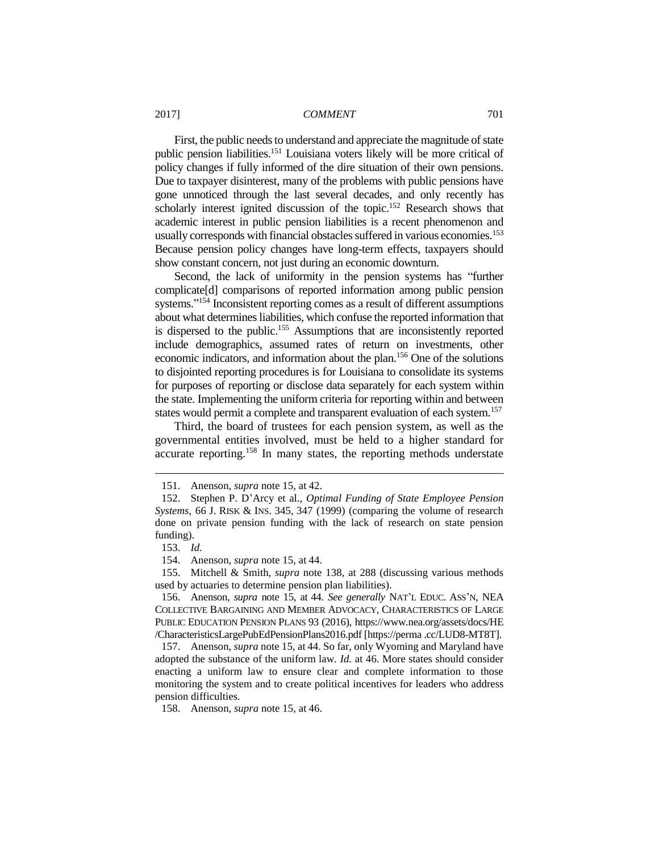First, the public needs to understand and appreciate the magnitude of state public pension liabilities.<sup>151</sup> Louisiana voters likely will be more critical of policy changes if fully informed of the dire situation of their own pensions. Due to taxpayer disinterest, many of the problems with public pensions have gone unnoticed through the last several decades, and only recently has scholarly interest ignited discussion of the topic.<sup>152</sup> Research shows that academic interest in public pension liabilities is a recent phenomenon and usually corresponds with financial obstacles suffered in various economies.<sup>153</sup> Because pension policy changes have long-term effects, taxpayers should show constant concern, not just during an economic downturn.

Second, the lack of uniformity in the pension systems has "further complicate[d] comparisons of reported information among public pension systems." <sup>154</sup> Inconsistent reporting comes as a result of different assumptions about what determines liabilities, which confuse the reported information that is dispersed to the public.<sup>155</sup> Assumptions that are inconsistently reported include demographics, assumed rates of return on investments, other economic indicators, and information about the plan.<sup>156</sup> One of the solutions to disjointed reporting procedures is for Louisiana to consolidate its systems for purposes of reporting or disclose data separately for each system within the state. Implementing the uniform criteria for reporting within and between states would permit a complete and transparent evaluation of each system.<sup>157</sup>

Third, the board of trustees for each pension system, as well as the governmental entities involved, must be held to a higher standard for accurate reporting.<sup>158</sup> In many states, the reporting methods understate

<sup>151.</sup> Anenson, *supra* note 15, at 42.

<sup>152.</sup> Stephen P. D'Arcy et al., *Optimal Funding of State Employee Pension Systems*, 66 J. RISK & INS. 345, 347 (1999) (comparing the volume of research done on private pension funding with the lack of research on state pension funding).

<sup>153.</sup> *Id.*

<sup>154.</sup> Anenson, *supra* note 15, at 44.

<sup>155.</sup> Mitchell & Smith, *supra* note 138, at 288 (discussing various methods used by actuaries to determine pension plan liabilities).

<sup>156.</sup> Anenson, *supra* note 15, at 44*. See generally* NAT'L EDUC. ASS'N, NEA COLLECTIVE BARGAINING AND MEMBER ADVOCACY, CHARACTERISTICS OF LARGE PUBLIC EDUCATION PENSION PLANS 93 (2016), https://www.nea.org/assets/docs/HE /CharacteristicsLargePubEdPensionPlans2016.pdf [https://perma .cc/LUD8-MT8T].

<sup>157.</sup> Anenson, *supra* note 15, at 44. So far, only Wyoming and Maryland have adopted the substance of the uniform law. *Id.* at 46. More states should consider enacting a uniform law to ensure clear and complete information to those monitoring the system and to create political incentives for leaders who address pension difficulties.

<sup>158.</sup> Anenson, *supra* note 15, at 46.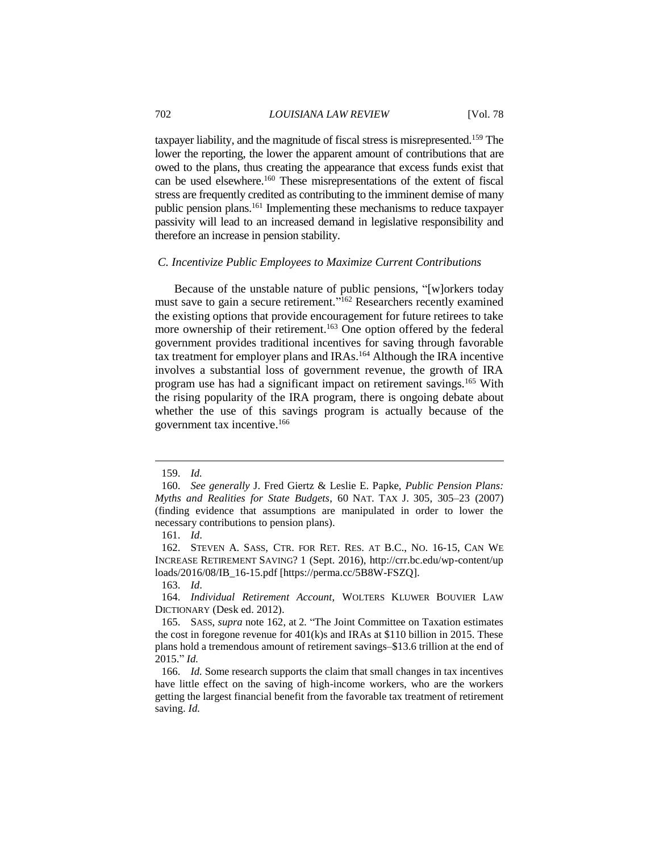taxpayer liability, and the magnitude of fiscal stress is misrepresented.<sup>159</sup> The lower the reporting, the lower the apparent amount of contributions that are owed to the plans, thus creating the appearance that excess funds exist that can be used elsewhere.<sup>160</sup> These misrepresentations of the extent of fiscal stress are frequently credited as contributing to the imminent demise of many public pension plans.<sup>161</sup> Implementing these mechanisms to reduce taxpayer passivity will lead to an increased demand in legislative responsibility and therefore an increase in pension stability.

#### *C. Incentivize Public Employees to Maximize Current Contributions*

Because of the unstable nature of public pensions, "[w]orkers today must save to gain a secure retirement."<sup>162</sup> Researchers recently examined the existing options that provide encouragement for future retirees to take more ownership of their retirement.<sup>163</sup> One option offered by the federal government provides traditional incentives for saving through favorable tax treatment for employer plans and IRAs. <sup>164</sup> Although the IRA incentive involves a substantial loss of government revenue, the growth of IRA program use has had a significant impact on retirement savings.<sup>165</sup> With the rising popularity of the IRA program, there is ongoing debate about whether the use of this savings program is actually because of the government tax incentive. 166

<sup>159.</sup> *Id.*

<sup>160.</sup> *See generally* J. Fred Giertz & Leslie E. Papke, *Public Pension Plans: Myths and Realities for State Budgets*, 60 NAT. TAX J. 305, 305–23 (2007) (finding evidence that assumptions are manipulated in order to lower the necessary contributions to pension plans).

<sup>161.</sup> *Id*.

<sup>162.</sup> STEVEN A. SASS, CTR. FOR RET. RES. AT B.C., NO. 16-15, CAN WE INCREASE RETIREMENT SAVING? 1 (Sept. 2016), http://crr.bc.edu/wp-content/up loads/2016/08/IB\_16-15.pdf [https://perma.cc/5B8W-FSZQ].

<sup>163.</sup> *Id*.

<sup>164.</sup> *Individual Retirement Account*, WOLTERS KLUWER BOUVIER LAW DICTIONARY (Desk ed. 2012).

<sup>165.</sup> SASS, *supra* note 162, at 2*.* "The Joint Committee on Taxation estimates the cost in foregone revenue for  $401(k)s$  and IRAs at \$110 billion in 2015. These plans hold a tremendous amount of retirement savings–\$13.6 trillion at the end of 2015." *Id.*

<sup>166.</sup> *Id.* Some research supports the claim that small changes in tax incentives have little effect on the saving of high-income workers, who are the workers getting the largest financial benefit from the favorable tax treatment of retirement saving. *Id.*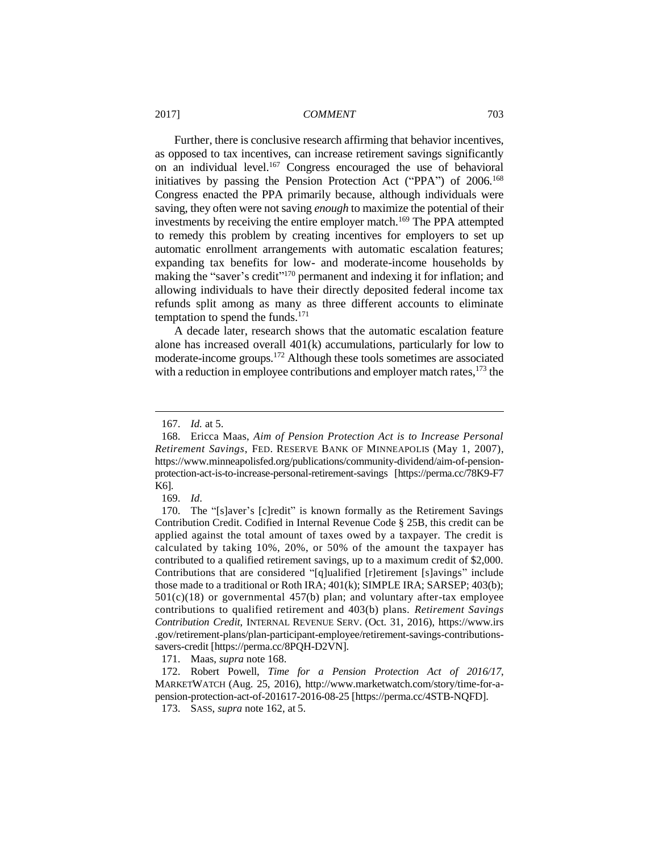Further, there is conclusive research affirming that behavior incentives, as opposed to tax incentives, can increase retirement savings significantly on an individual level.<sup>167</sup> Congress encouraged the use of behavioral initiatives by passing the Pension Protection Act ("PPA") of 2006.<sup>168</sup> Congress enacted the PPA primarily because, although individuals were saving, they often were not saving *enough* to maximize the potential of their investments by receiving the entire employer match.<sup>169</sup> The PPA attempted to remedy this problem by creating incentives for employers to set up automatic enrollment arrangements with automatic escalation features; expanding tax benefits for low- and moderate-income households by making the "saver's credit"<sup>170</sup> permanent and indexing it for inflation; and allowing individuals to have their directly deposited federal income tax refunds split among as many as three different accounts to eliminate temptation to spend the funds.<sup>171</sup>

A decade later, research shows that the automatic escalation feature alone has increased overall 401(k) accumulations, particularly for low to moderate-income groups.<sup>172</sup> Although these tools sometimes are associated with a reduction in employee contributions and employer match rates,  $173$  the

 $\overline{a}$ 

171. Maas, *supra* note 168.

172. Robert Powell, *Time for a Pension Protection Act of 2016/17*, MARKETWATCH (Aug. 25, 2016), http://www.marketwatch.com/story/time-for-apension-protection-act-of-201617-2016-08-25 [https://perma.cc/4STB-NQFD].

173. SASS, *supra* note 162, at 5.

<sup>167.</sup> *Id.* at 5.

<sup>168.</sup> Ericca Maas, *Aim of Pension Protection Act is to Increase Personal Retirement Savings*, FED. RESERVE BANK OF MINNEAPOLIS (May 1, 2007), https://www.minneapolisfed.org/publications/community-dividend/aim-of-pensionprotection-act-is-to-increase-personal-retirement-savings [https://perma.cc/78K9-F7 K6].

<sup>169.</sup> *Id*.

<sup>170.</sup> The "[s]aver's [c]redit" is known formally as the Retirement Savings Contribution Credit. Codified in Internal Revenue Code § 25B, this credit can be applied against the total amount of taxes owed by a taxpayer. The credit is calculated by taking 10%, 20%, or 50% of the amount the taxpayer has contributed to a qualified retirement savings, up to a maximum credit of \$2,000. Contributions that are considered "[q]ualified [r]etirement [s]avings" include those made to a traditional or Roth IRA; 401(k); SIMPLE IRA; SARSEP; 403(b);  $501(c)(18)$  or governmental  $457(b)$  plan; and voluntary after-tax employee contributions to qualified retirement and 403(b) plans. *Retirement Savings Contribution Credit*, INTERNAL REVENUE SERV. (Oct. 31, 2016), https://www.irs .gov/retirement-plans/plan-participant-employee/retirement-savings-contributionssavers-credit [https://perma.cc/8PQH-D2VN].